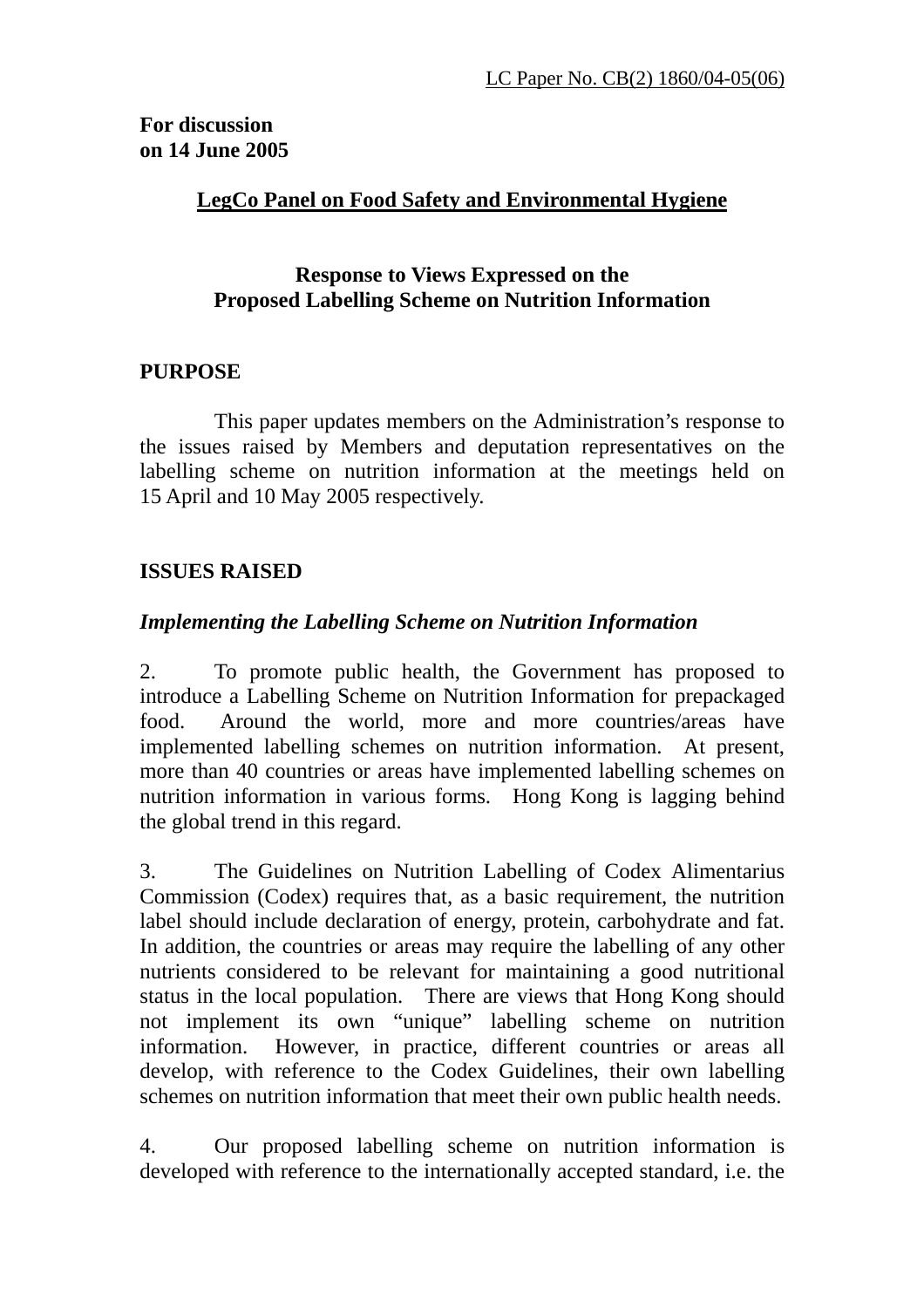# **For discussion on 14 June 2005**

### **LegCo Panel on Food Safety and Environmental Hygiene**

### **Response to Views Expressed on the Proposed Labelling Scheme on Nutrition Information**

### **PURPOSE**

 This paper updates members on the Administration's response to the issues raised by Members and deputation representatives on the labelling scheme on nutrition information at the meetings held on 15 April and 10 May 2005 respectively.

### **ISSUES RAISED**

### *Implementing the Labelling Scheme on Nutrition Information*

2. To promote public health, the Government has proposed to introduce a Labelling Scheme on Nutrition Information for prepackaged food. Around the world, more and more countries/areas have implemented labelling schemes on nutrition information. At present, more than 40 countries or areas have implemented labelling schemes on nutrition information in various forms. Hong Kong is lagging behind the global trend in this regard.

3. The Guidelines on Nutrition Labelling of Codex Alimentarius Commission (Codex) requires that, as a basic requirement, the nutrition label should include declaration of energy, protein, carbohydrate and fat. In addition, the countries or areas may require the labelling of any other nutrients considered to be relevant for maintaining a good nutritional status in the local population. There are views that Hong Kong should not implement its own "unique" labelling scheme on nutrition information. However, in practice, different countries or areas all develop, with reference to the Codex Guidelines, their own labelling schemes on nutrition information that meet their own public health needs.

4. Our proposed labelling scheme on nutrition information is developed with reference to the internationally accepted standard, i.e. the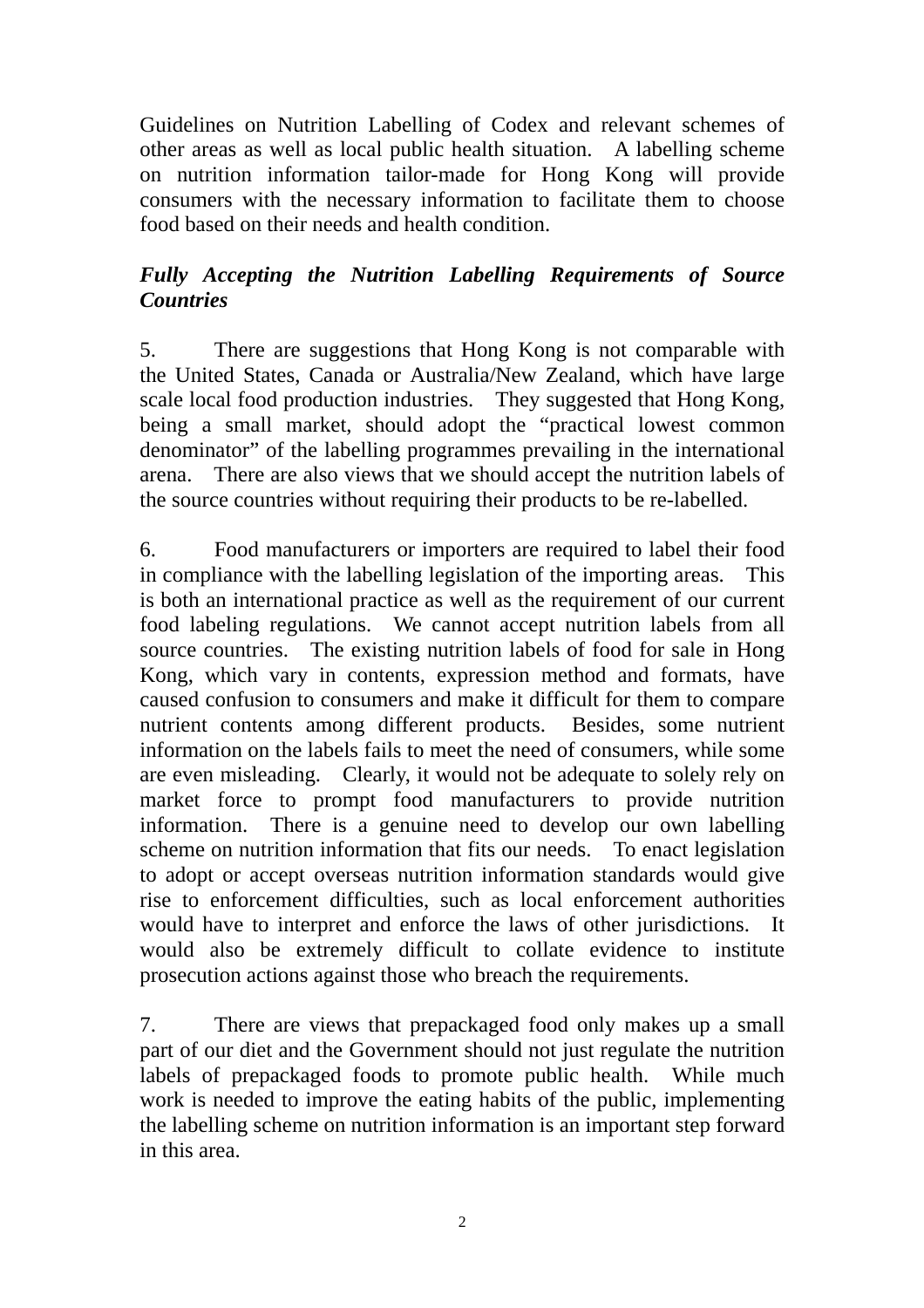Guidelines on Nutrition Labelling of Codex and relevant schemes of other areas as well as local public health situation. A labelling scheme on nutrition information tailor-made for Hong Kong will provide consumers with the necessary information to facilitate them to choose food based on their needs and health condition.

# *Fully Accepting the Nutrition Labelling Requirements of Source Countries*

5. There are suggestions that Hong Kong is not comparable with the United States, Canada or Australia/New Zealand, which have large scale local food production industries. They suggested that Hong Kong, being a small market, should adopt the "practical lowest common denominator" of the labelling programmes prevailing in the international arena. There are also views that we should accept the nutrition labels of the source countries without requiring their products to be re-labelled.

6. Food manufacturers or importers are required to label their food in compliance with the labelling legislation of the importing areas. This is both an international practice as well as the requirement of our current food labeling regulations. We cannot accept nutrition labels from all source countries. The existing nutrition labels of food for sale in Hong Kong, which vary in contents, expression method and formats, have caused confusion to consumers and make it difficult for them to compare nutrient contents among different products. Besides, some nutrient information on the labels fails to meet the need of consumers, while some are even misleading. Clearly, it would not be adequate to solely rely on market force to prompt food manufacturers to provide nutrition information. There is a genuine need to develop our own labelling scheme on nutrition information that fits our needs. To enact legislation to adopt or accept overseas nutrition information standards would give rise to enforcement difficulties, such as local enforcement authorities would have to interpret and enforce the laws of other jurisdictions. It would also be extremely difficult to collate evidence to institute prosecution actions against those who breach the requirements.

7. There are views that prepackaged food only makes up a small part of our diet and the Government should not just regulate the nutrition labels of prepackaged foods to promote public health. While much work is needed to improve the eating habits of the public, implementing the labelling scheme on nutrition information is an important step forward in this area.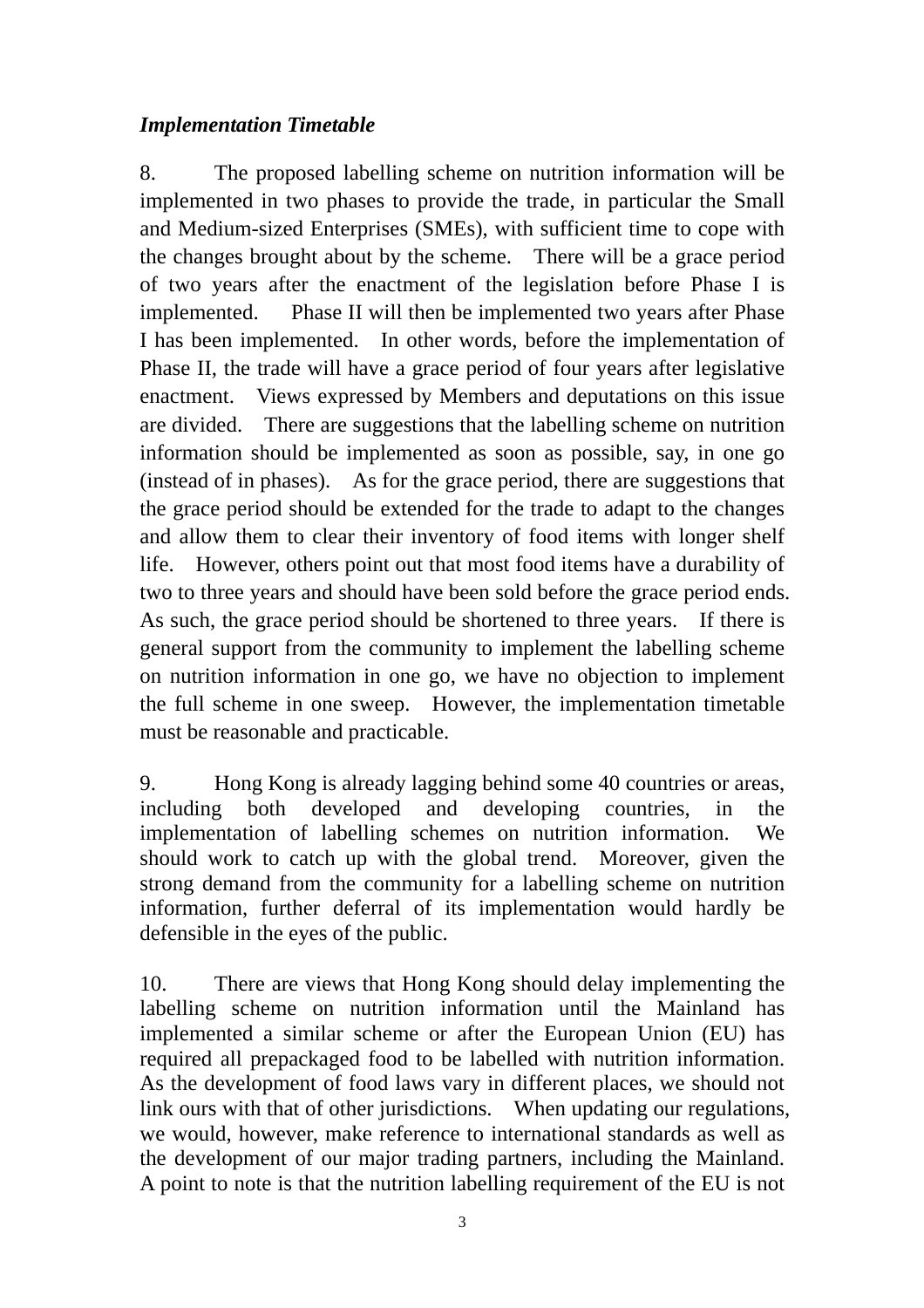### *Implementation Timetable*

8. The proposed labelling scheme on nutrition information will be implemented in two phases to provide the trade, in particular the Small and Medium-sized Enterprises (SMEs), with sufficient time to cope with the changes brought about by the scheme. There will be a grace period of two years after the enactment of the legislation before Phase I is implemented. Phase II will then be implemented two years after Phase I has been implemented. In other words, before the implementation of Phase II, the trade will have a grace period of four years after legislative enactment. Views expressed by Members and deputations on this issue are divided. There are suggestions that the labelling scheme on nutrition information should be implemented as soon as possible, say, in one go (instead of in phases). As for the grace period, there are suggestions that the grace period should be extended for the trade to adapt to the changes and allow them to clear their inventory of food items with longer shelf life. However, others point out that most food items have a durability of two to three years and should have been sold before the grace period ends. As such, the grace period should be shortened to three years. If there is general support from the community to implement the labelling scheme on nutrition information in one go, we have no objection to implement the full scheme in one sweep. However, the implementation timetable must be reasonable and practicable.

9. Hong Kong is already lagging behind some 40 countries or areas, including both developed and developing countries, in the implementation of labelling schemes on nutrition information. We should work to catch up with the global trend. Moreover, given the strong demand from the community for a labelling scheme on nutrition information, further deferral of its implementation would hardly be defensible in the eyes of the public.

10. There are views that Hong Kong should delay implementing the labelling scheme on nutrition information until the Mainland has implemented a similar scheme or after the European Union (EU) has required all prepackaged food to be labelled with nutrition information. As the development of food laws vary in different places, we should not link ours with that of other jurisdictions. When updating our regulations, we would, however, make reference to international standards as well as the development of our major trading partners, including the Mainland. A point to note is that the nutrition labelling requirement of the EU is not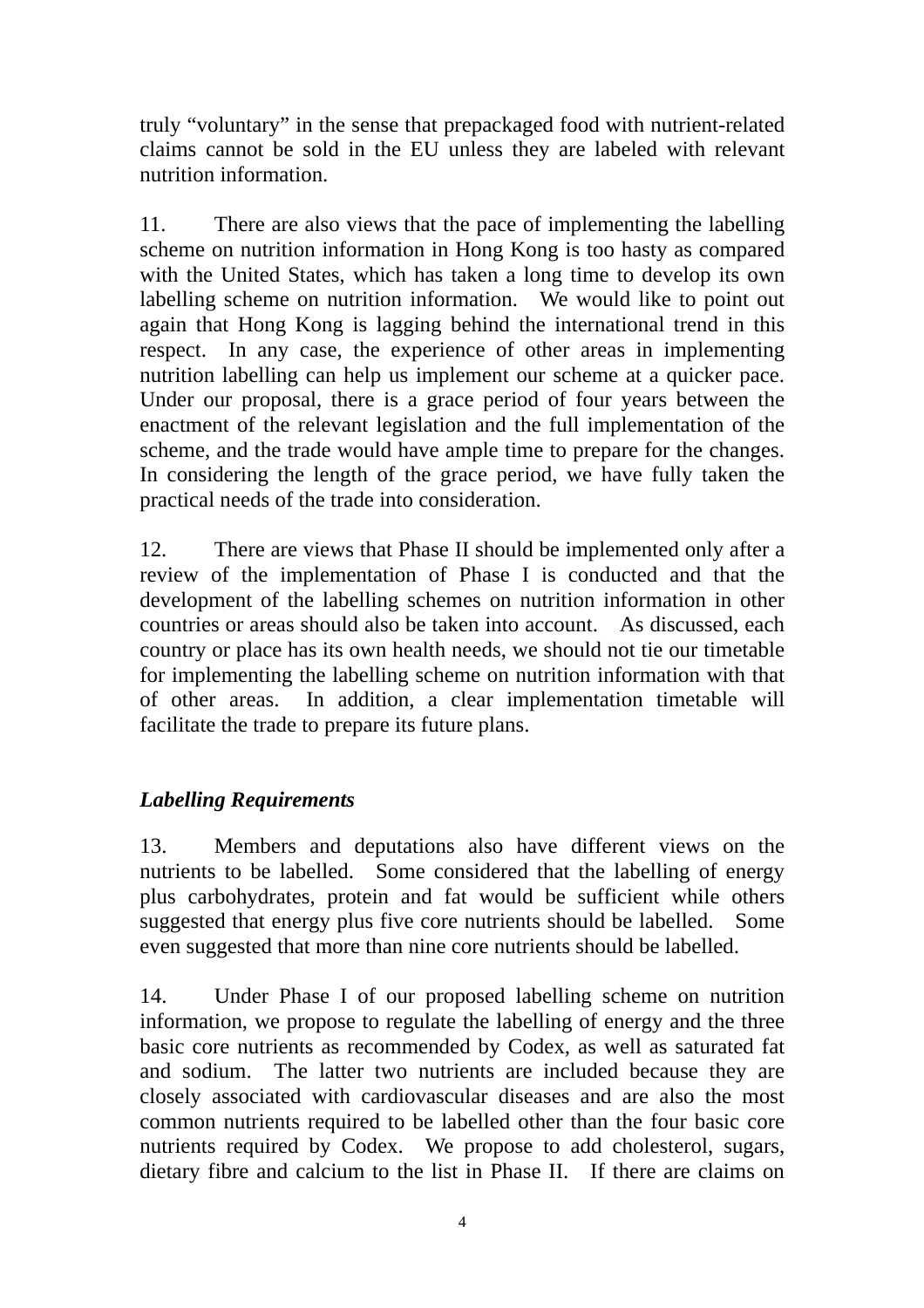truly "voluntary" in the sense that prepackaged food with nutrient-related claims cannot be sold in the EU unless they are labeled with relevant nutrition information.

11. There are also views that the pace of implementing the labelling scheme on nutrition information in Hong Kong is too hasty as compared with the United States, which has taken a long time to develop its own labelling scheme on nutrition information. We would like to point out again that Hong Kong is lagging behind the international trend in this respect. In any case, the experience of other areas in implementing nutrition labelling can help us implement our scheme at a quicker pace. Under our proposal, there is a grace period of four years between the enactment of the relevant legislation and the full implementation of the scheme, and the trade would have ample time to prepare for the changes. In considering the length of the grace period, we have fully taken the practical needs of the trade into consideration.

12. There are views that Phase II should be implemented only after a review of the implementation of Phase I is conducted and that the development of the labelling schemes on nutrition information in other countries or areas should also be taken into account. As discussed, each country or place has its own health needs, we should not tie our timetable for implementing the labelling scheme on nutrition information with that of other areas. In addition, a clear implementation timetable will facilitate the trade to prepare its future plans.

# *Labelling Requirements*

13. Members and deputations also have different views on the nutrients to be labelled. Some considered that the labelling of energy plus carbohydrates, protein and fat would be sufficient while others suggested that energy plus five core nutrients should be labelled. Some even suggested that more than nine core nutrients should be labelled.

14. Under Phase I of our proposed labelling scheme on nutrition information, we propose to regulate the labelling of energy and the three basic core nutrients as recommended by Codex, as well as saturated fat and sodium. The latter two nutrients are included because they are closely associated with cardiovascular diseases and are also the most common nutrients required to be labelled other than the four basic core nutrients required by Codex. We propose to add cholesterol, sugars, dietary fibre and calcium to the list in Phase II. If there are claims on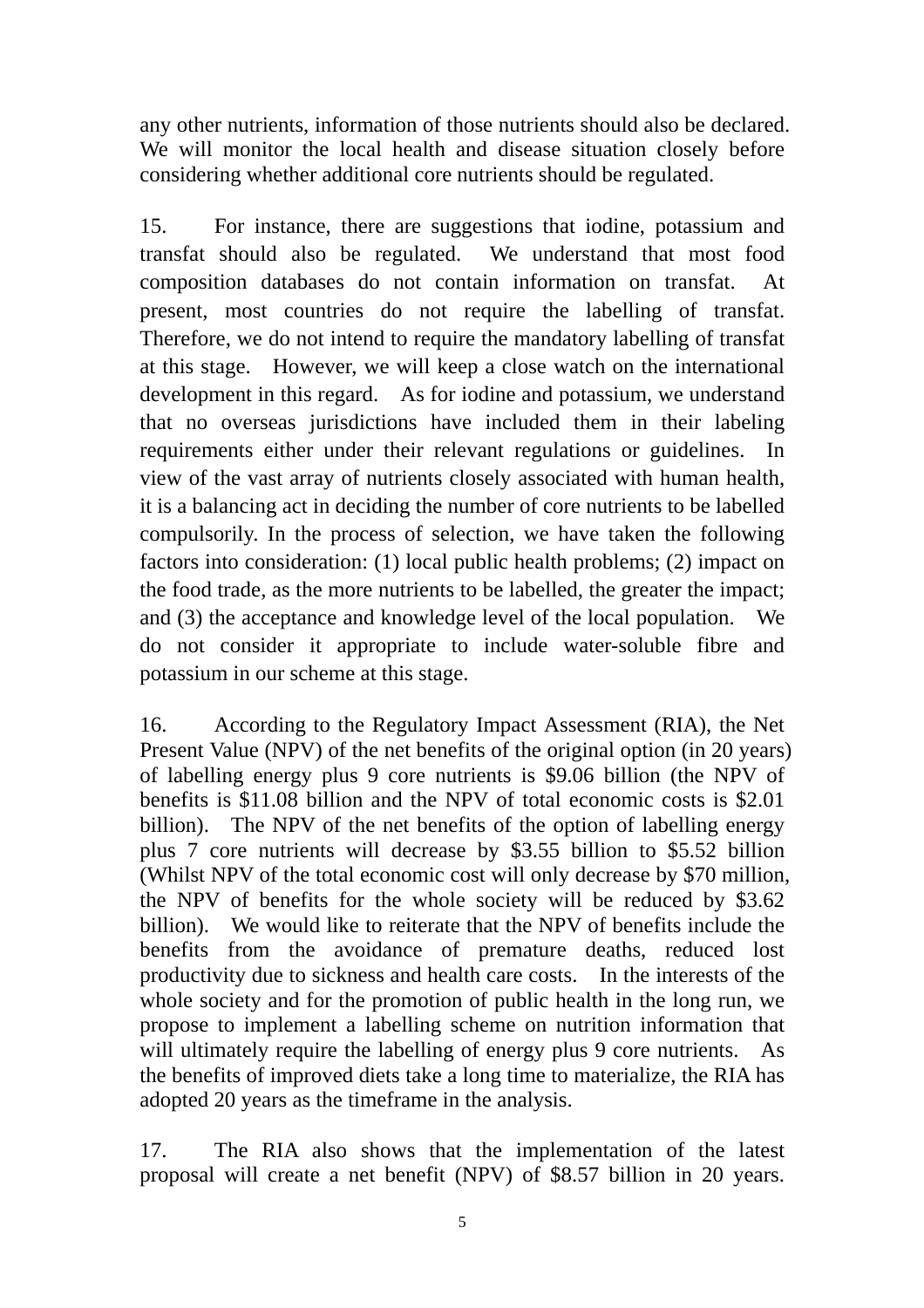any other nutrients, information of those nutrients should also be declared. We will monitor the local health and disease situation closely before considering whether additional core nutrients should be regulated.

15. For instance, there are suggestions that iodine, potassium and transfat should also be regulated. We understand that most food composition databases do not contain information on transfat. At present, most countries do not require the labelling of transfat. Therefore, we do not intend to require the mandatory labelling of transfat at this stage. However, we will keep a close watch on the international development in this regard. As for iodine and potassium, we understand that no overseas jurisdictions have included them in their labeling requirements either under their relevant regulations or guidelines. In view of the vast array of nutrients closely associated with human health, it is a balancing act in deciding the number of core nutrients to be labelled compulsorily. In the process of selection, we have taken the following factors into consideration: (1) local public health problems; (2) impact on the food trade, as the more nutrients to be labelled, the greater the impact; and (3) the acceptance and knowledge level of the local population. We do not consider it appropriate to include water-soluble fibre and potassium in our scheme at this stage.

16. According to the Regulatory Impact Assessment (RIA), the Net Present Value (NPV) of the net benefits of the original option (in 20 years) of labelling energy plus 9 core nutrients is \$9.06 billion (the NPV of benefits is \$11.08 billion and the NPV of total economic costs is \$2.01 billion). The NPV of the net benefits of the option of labelling energy plus 7 core nutrients will decrease by \$3.55 billion to \$5.52 billion (Whilst NPV of the total economic cost will only decrease by \$70 million, the NPV of benefits for the whole society will be reduced by \$3.62 billion). We would like to reiterate that the NPV of benefits include the benefits from the avoidance of premature deaths, reduced lost productivity due to sickness and health care costs. In the interests of the whole society and for the promotion of public health in the long run, we propose to implement a labelling scheme on nutrition information that will ultimately require the labelling of energy plus 9 core nutrients. As the benefits of improved diets take a long time to materialize, the RIA has adopted 20 years as the timeframe in the analysis.

17. The RIA also shows that the implementation of the latest proposal will create a net benefit (NPV) of \$8.57 billion in 20 years.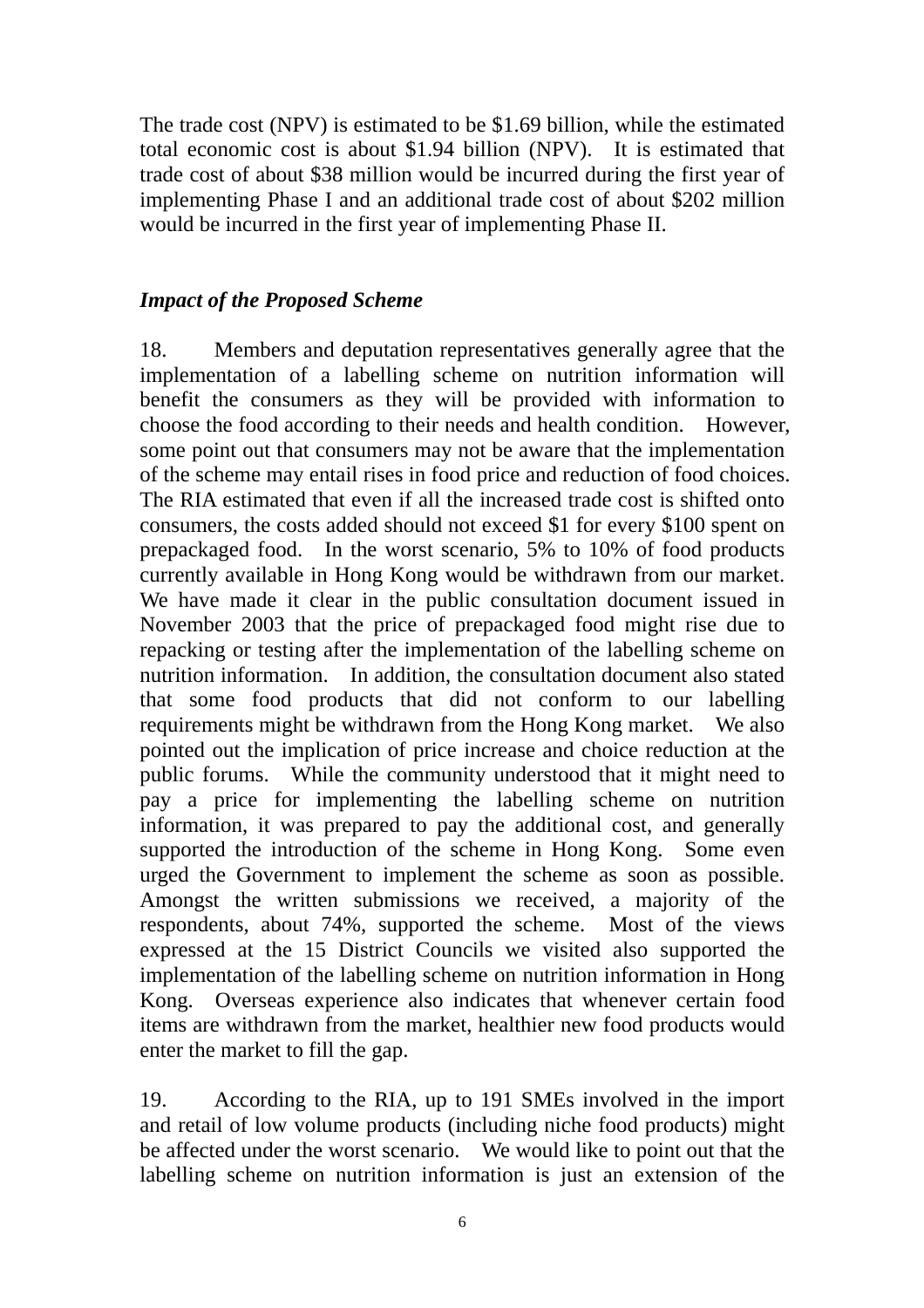The trade cost (NPV) is estimated to be \$1.69 billion, while the estimated total economic cost is about \$1.94 billion (NPV). It is estimated that trade cost of about \$38 million would be incurred during the first year of implementing Phase I and an additional trade cost of about \$202 million would be incurred in the first year of implementing Phase II.

#### *Impact of the Proposed Scheme*

18. Members and deputation representatives generally agree that the implementation of a labelling scheme on nutrition information will benefit the consumers as they will be provided with information to choose the food according to their needs and health condition. However, some point out that consumers may not be aware that the implementation of the scheme may entail rises in food price and reduction of food choices. The RIA estimated that even if all the increased trade cost is shifted onto consumers, the costs added should not exceed \$1 for every \$100 spent on prepackaged food. In the worst scenario, 5% to 10% of food products currently available in Hong Kong would be withdrawn from our market. We have made it clear in the public consultation document issued in November 2003 that the price of prepackaged food might rise due to repacking or testing after the implementation of the labelling scheme on nutrition information. In addition, the consultation document also stated that some food products that did not conform to our labelling requirements might be withdrawn from the Hong Kong market. We also pointed out the implication of price increase and choice reduction at the public forums. While the community understood that it might need to pay a price for implementing the labelling scheme on nutrition information, it was prepared to pay the additional cost, and generally supported the introduction of the scheme in Hong Kong. Some even urged the Government to implement the scheme as soon as possible. Amongst the written submissions we received, a majority of the respondents, about 74%, supported the scheme. Most of the views expressed at the 15 District Councils we visited also supported the implementation of the labelling scheme on nutrition information in Hong Kong. Overseas experience also indicates that whenever certain food items are withdrawn from the market, healthier new food products would enter the market to fill the gap.

19. According to the RIA, up to 191 SMEs involved in the import and retail of low volume products (including niche food products) might be affected under the worst scenario. We would like to point out that the labelling scheme on nutrition information is just an extension of the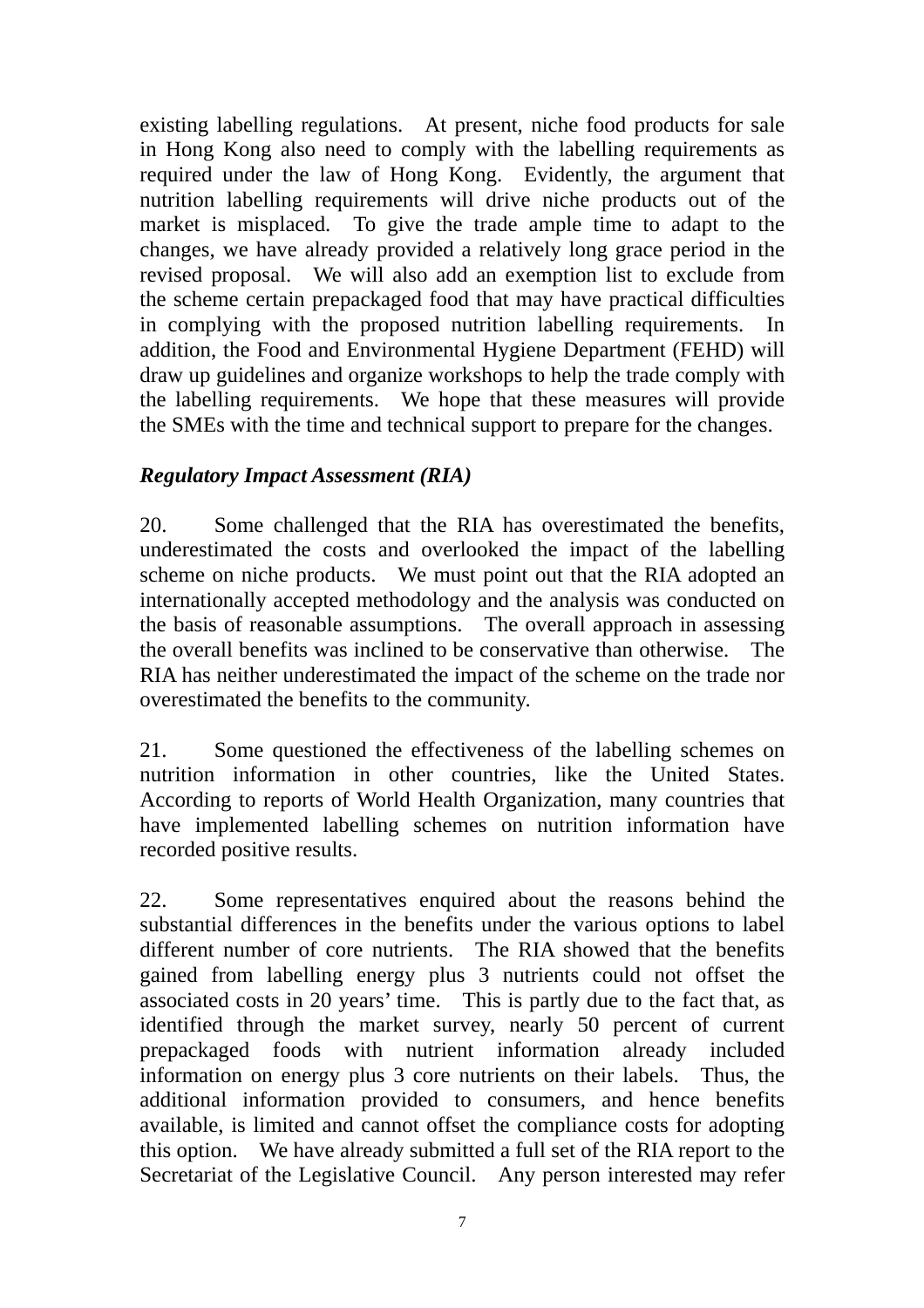existing labelling regulations. At present, niche food products for sale in Hong Kong also need to comply with the labelling requirements as required under the law of Hong Kong. Evidently, the argument that nutrition labelling requirements will drive niche products out of the market is misplaced. To give the trade ample time to adapt to the changes, we have already provided a relatively long grace period in the revised proposal. We will also add an exemption list to exclude from the scheme certain prepackaged food that may have practical difficulties in complying with the proposed nutrition labelling requirements. In addition, the Food and Environmental Hygiene Department (FEHD) will draw up guidelines and organize workshops to help the trade comply with the labelling requirements. We hope that these measures will provide the SMEs with the time and technical support to prepare for the changes.

### *Regulatory Impact Assessment (RIA)*

20. Some challenged that the RIA has overestimated the benefits, underestimated the costs and overlooked the impact of the labelling scheme on niche products. We must point out that the RIA adopted an internationally accepted methodology and the analysis was conducted on the basis of reasonable assumptions. The overall approach in assessing the overall benefits was inclined to be conservative than otherwise. RIA has neither underestimated the impact of the scheme on the trade nor overestimated the benefits to the community.

21. Some questioned the effectiveness of the labelling schemes on nutrition information in other countries, like the United States. According to reports of World Health Organization, many countries that have implemented labelling schemes on nutrition information have recorded positive results.

22. Some representatives enquired about the reasons behind the substantial differences in the benefits under the various options to label different number of core nutrients. The RIA showed that the benefits gained from labelling energy plus 3 nutrients could not offset the associated costs in 20 years' time. This is partly due to the fact that, as identified through the market survey, nearly 50 percent of current prepackaged foods with nutrient information already included information on energy plus 3 core nutrients on their labels. Thus, the additional information provided to consumers, and hence benefits available, is limited and cannot offset the compliance costs for adopting this option. We have already submitted a full set of the RIA report to the Secretariat of the Legislative Council. Any person interested may refer

<sup>7</sup>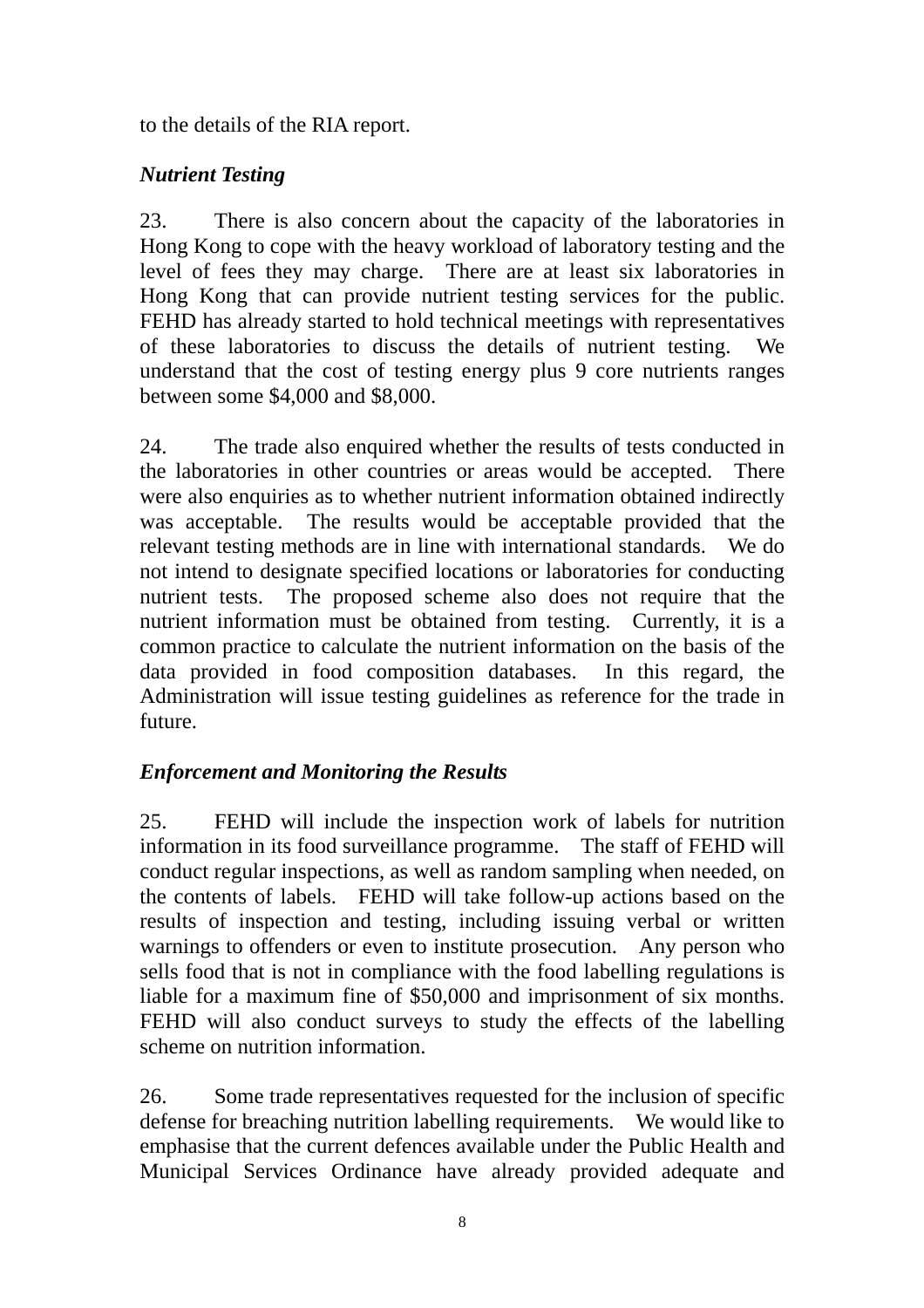to the details of the RIA report.

# *Nutrient Testing*

23. There is also concern about the capacity of the laboratories in Hong Kong to cope with the heavy workload of laboratory testing and the level of fees they may charge. There are at least six laboratories in Hong Kong that can provide nutrient testing services for the public. FEHD has already started to hold technical meetings with representatives of these laboratories to discuss the details of nutrient testing. We understand that the cost of testing energy plus 9 core nutrients ranges between some \$4,000 and \$8,000.

24. The trade also enquired whether the results of tests conducted in the laboratories in other countries or areas would be accepted. There were also enquiries as to whether nutrient information obtained indirectly was acceptable. The results would be acceptable provided that the relevant testing methods are in line with international standards. We do not intend to designate specified locations or laboratories for conducting nutrient tests. The proposed scheme also does not require that the nutrient information must be obtained from testing. Currently, it is a common practice to calculate the nutrient information on the basis of the data provided in food composition databases. In this regard, the Administration will issue testing guidelines as reference for the trade in future.

# *Enforcement and Monitoring the Results*

25. FEHD will include the inspection work of labels for nutrition information in its food surveillance programme. The staff of FEHD will conduct regular inspections, as well as random sampling when needed, on the contents of labels. FEHD will take follow-up actions based on the results of inspection and testing, including issuing verbal or written warnings to offenders or even to institute prosecution. Any person who sells food that is not in compliance with the food labelling regulations is liable for a maximum fine of \$50,000 and imprisonment of six months. FEHD will also conduct surveys to study the effects of the labelling scheme on nutrition information.

26. Some trade representatives requested for the inclusion of specific defense for breaching nutrition labelling requirements. We would like to emphasise that the current defences available under the Public Health and Municipal Services Ordinance have already provided adequate and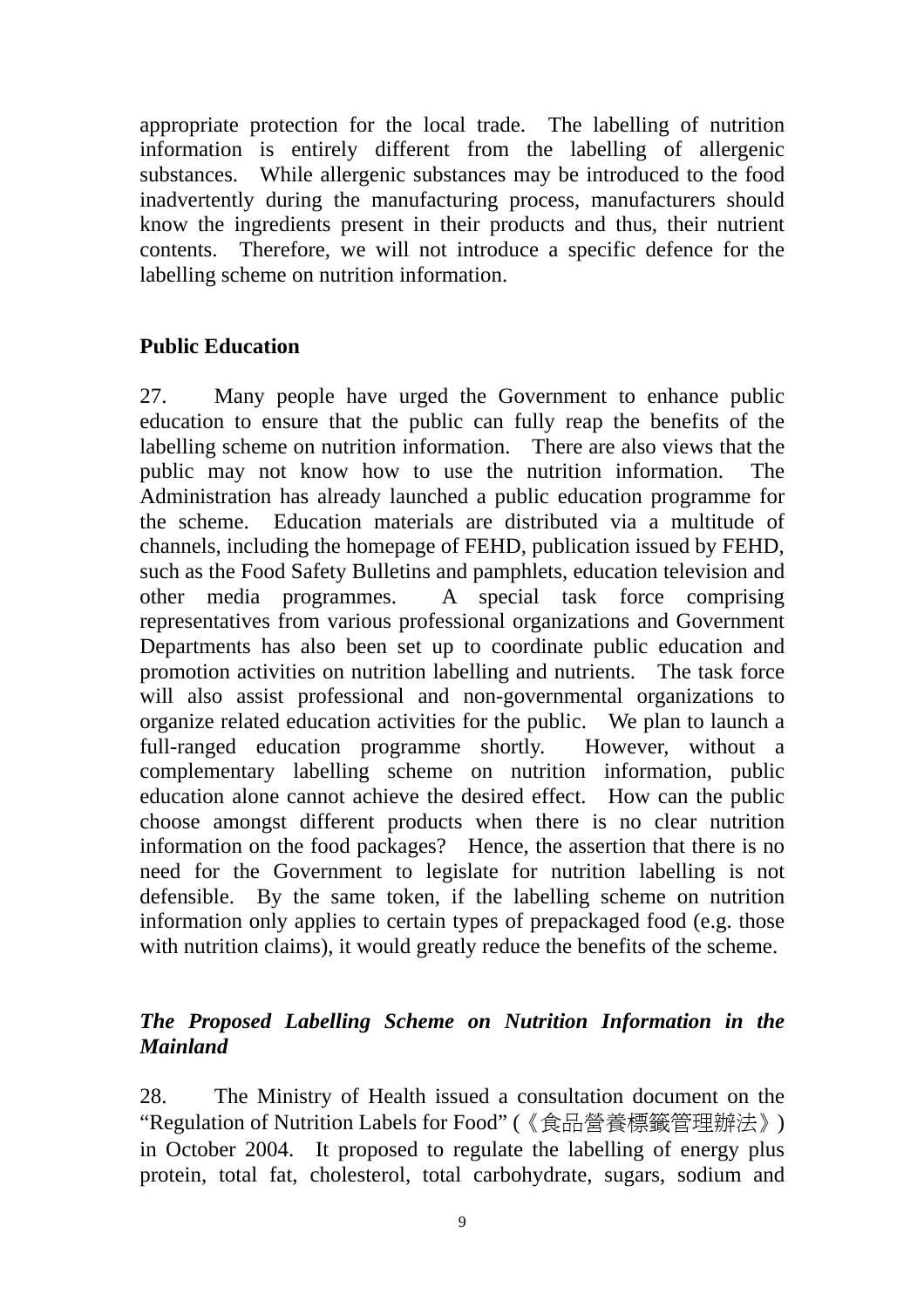appropriate protection for the local trade. The labelling of nutrition information is entirely different from the labelling of allergenic substances. While allergenic substances may be introduced to the food inadvertently during the manufacturing process, manufacturers should know the ingredients present in their products and thus, their nutrient contents. Therefore, we will not introduce a specific defence for the labelling scheme on nutrition information.

### **Public Education**

27. Many people have urged the Government to enhance public education to ensure that the public can fully reap the benefits of the labelling scheme on nutrition information. There are also views that the public may not know how to use the nutrition information. The Administration has already launched a public education programme for the scheme. Education materials are distributed via a multitude of channels, including the homepage of FEHD, publication issued by FEHD, such as the Food Safety Bulletins and pamphlets, education television and other media programmes. A special task force comprising representatives from various professional organizations and Government Departments has also been set up to coordinate public education and promotion activities on nutrition labelling and nutrients. The task force will also assist professional and non-governmental organizations to organize related education activities for the public. We plan to launch a full-ranged education programme shortly. However, without a complementary labelling scheme on nutrition information, public education alone cannot achieve the desired effect. How can the public choose amongst different products when there is no clear nutrition information on the food packages? Hence, the assertion that there is no need for the Government to legislate for nutrition labelling is not defensible. By the same token, if the labelling scheme on nutrition information only applies to certain types of prepackaged food (e.g. those with nutrition claims), it would greatly reduce the benefits of the scheme.

# *The Proposed Labelling Scheme on Nutrition Information in the Mainland*

28. The Ministry of Health issued a consultation document on the "Regulation of Nutrition Labels for Food" (《食品營養標籤管理辦法》) in October 2004. It proposed to regulate the labelling of energy plus protein, total fat, cholesterol, total carbohydrate, sugars, sodium and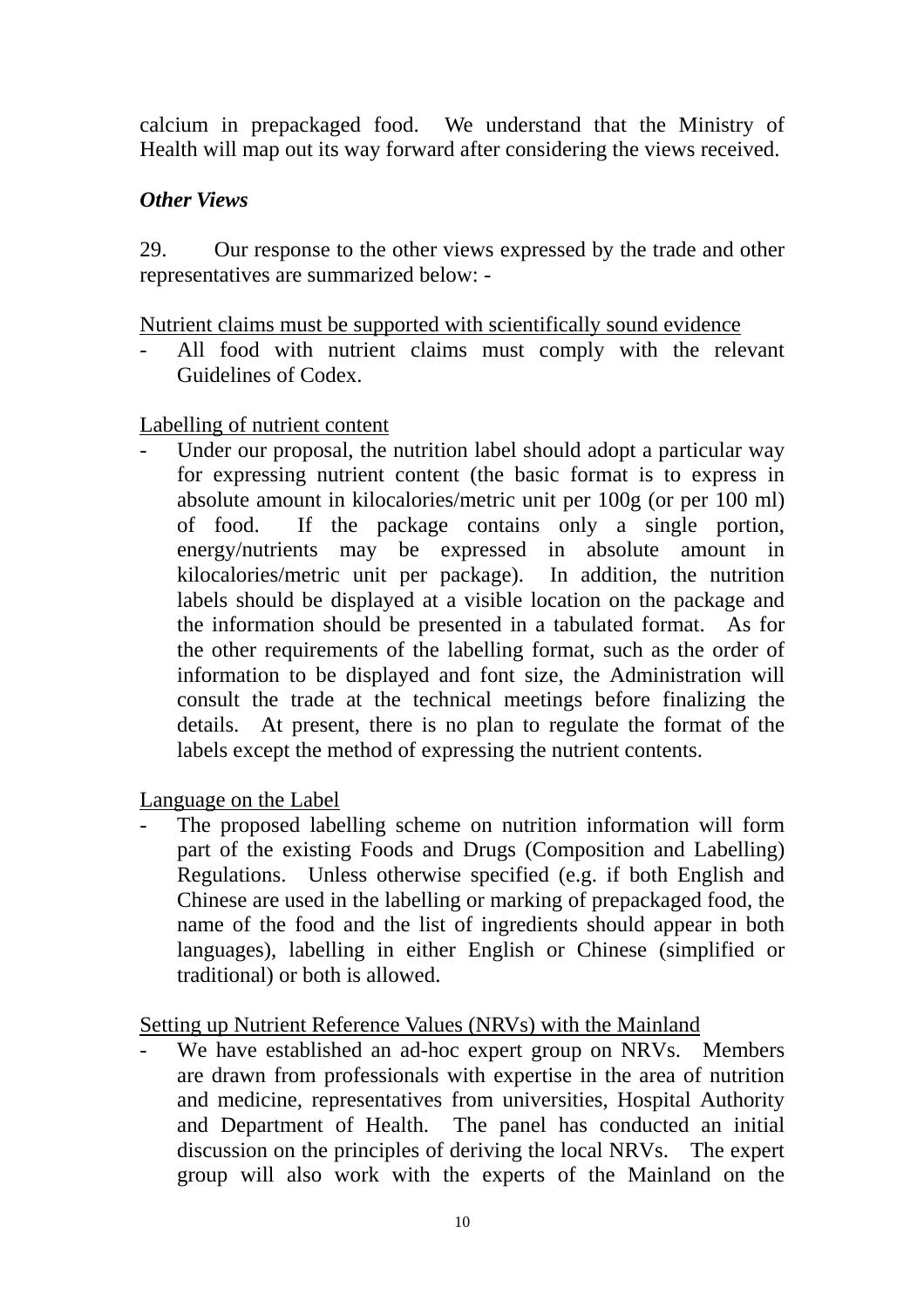calcium in prepackaged food. We understand that the Ministry of Health will map out its way forward after considering the views received.

## *Other Views*

29. Our response to the other views expressed by the trade and other representatives are summarized below: -

Nutrient claims must be supported with scientifically sound evidence

All food with nutrient claims must comply with the relevant Guidelines of Codex.

### Labelling of nutrient content

Under our proposal, the nutrition label should adopt a particular way for expressing nutrient content (the basic format is to express in absolute amount in kilocalories/metric unit per 100g (or per 100 ml) of food. If the package contains only a single portion, energy/nutrients may be expressed in absolute amount kilocalories/metric unit per package). In addition, the nutrition labels should be displayed at a visible location on the package and the information should be presented in a tabulated format. As for the other requirements of the labelling format, such as the order of information to be displayed and font size, the Administration will consult the trade at the technical meetings before finalizing the details. At present, there is no plan to regulate the format of the labels except the method of expressing the nutrient contents.

Language on the Label

The proposed labelling scheme on nutrition information will form part of the existing Foods and Drugs (Composition and Labelling) Regulations. Unless otherwise specified (e.g. if both English and Chinese are used in the labelling or marking of prepackaged food, the name of the food and the list of ingredients should appear in both languages), labelling in either English or Chinese (simplified or traditional) or both is allowed.

Setting up Nutrient Reference Values (NRVs) with the Mainland

- We have established an ad-hoc expert group on NRVs. Members are drawn from professionals with expertise in the area of nutrition and medicine, representatives from universities, Hospital Authority and Department of Health. The panel has conducted an initial discussion on the principles of deriving the local NRVs. The expert group will also work with the experts of the Mainland on the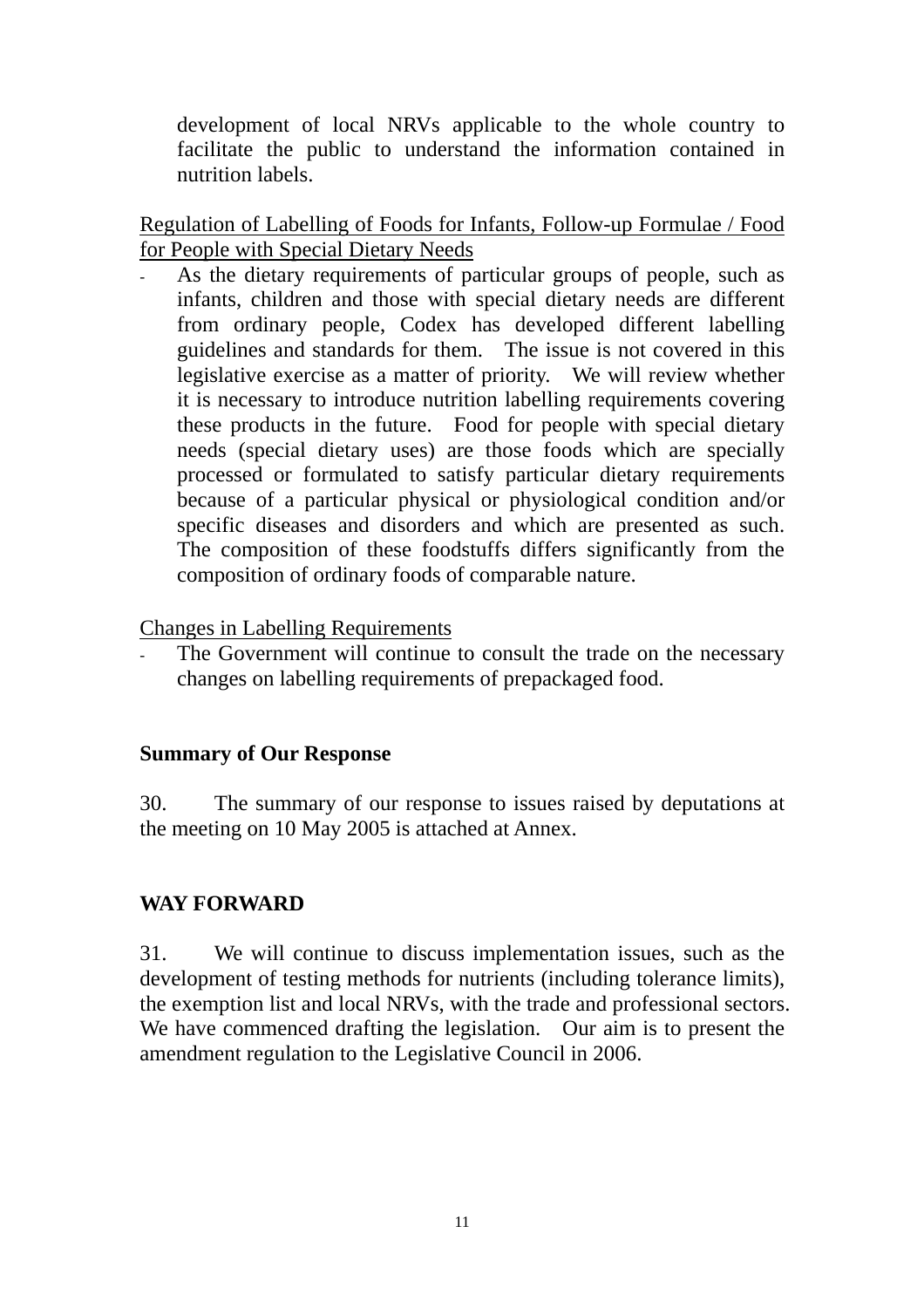development of local NRVs applicable to the whole country to facilitate the public to understand the information contained in nutrition labels.

Regulation of Labelling of Foods for Infants, Follow-up Formulae / Food for People with Special Dietary Needs

As the dietary requirements of particular groups of people, such as infants, children and those with special dietary needs are different from ordinary people, Codex has developed different labelling guidelines and standards for them. The issue is not covered in this legislative exercise as a matter of priority. We will review whether it is necessary to introduce nutrition labelling requirements covering these products in the future. Food for people with special dietary needs (special dietary uses) are those foods which are specially processed or formulated to satisfy particular dietary requirements because of a particular physical or physiological condition and/or specific diseases and disorders and which are presented as such. The composition of these foodstuffs differs significantly from the composition of ordinary foods of comparable nature.

Changes in Labelling Requirements

The Government will continue to consult the trade on the necessary changes on labelling requirements of prepackaged food.

### **Summary of Our Response**

30. The summary of our response to issues raised by deputations at the meeting on 10 May 2005 is attached at Annex.

### **WAY FORWARD**

31. We will continue to discuss implementation issues, such as the development of testing methods for nutrients (including tolerance limits), the exemption list and local NRVs, with the trade and professional sectors. We have commenced drafting the legislation. Our aim is to present the amendment regulation to the Legislative Council in 2006.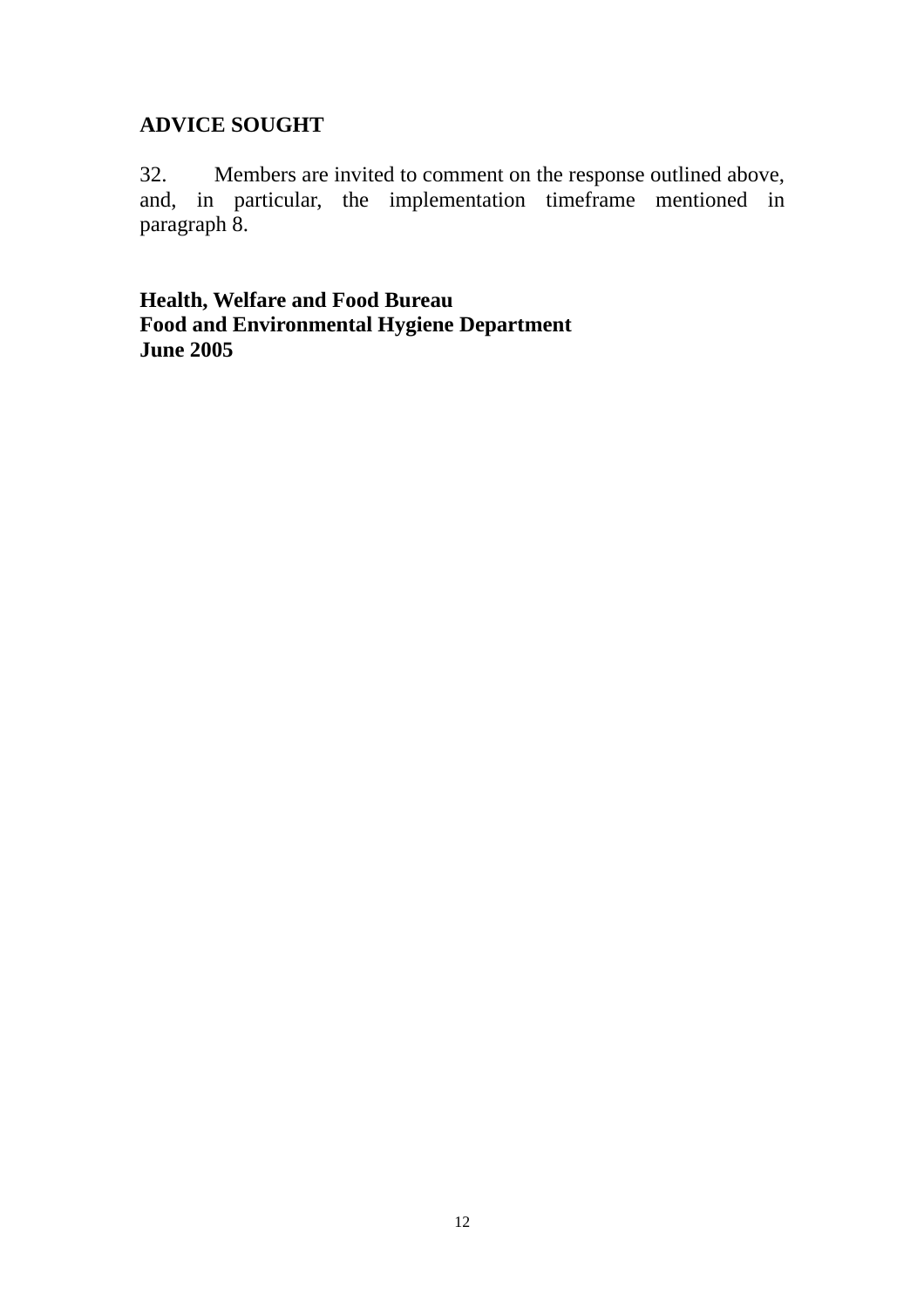### **ADVICE SOUGHT**

32. Members are invited to comment on the response outlined above, and, in particular, the implementation timeframe mentioned in paragraph 8.

**Health, Welfare and Food Bureau Food and Environmental Hygiene Department June 2005**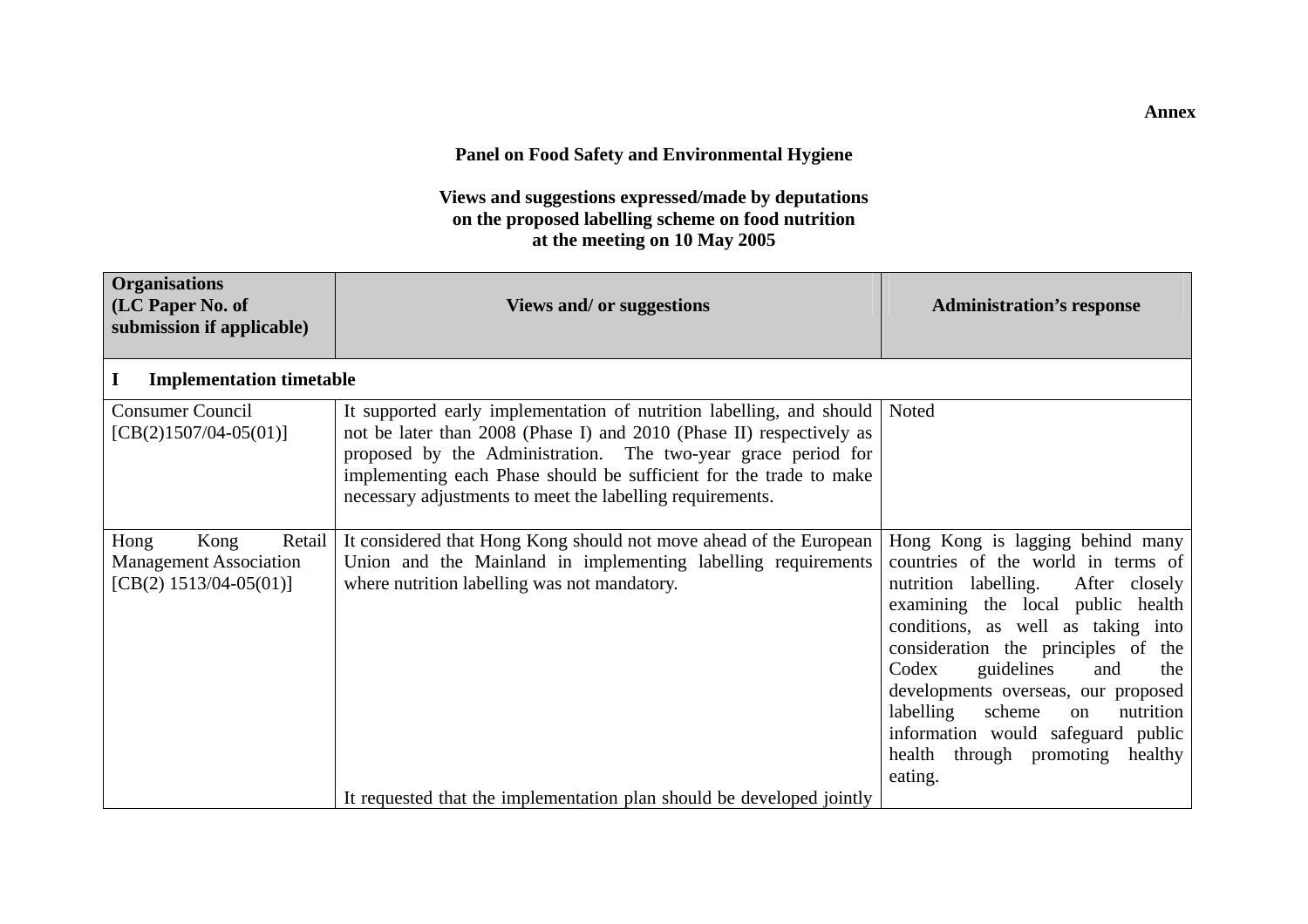#### **Panel on Food Safety and Environmental Hygiene**

**Views and suggestions expressed/made by deputations on the proposed labelling scheme on food nutrition at the meeting on 10 May 2005** 

| <b>Organisations</b><br>(LC Paper No. of<br>submission if applicable)               | <b>Views and/ or suggestions</b>                                                                                                                                                                                                                                                                                                                 | <b>Administration's response</b>                                                                                                                                                                                                                                                                                                                                                                                                                |
|-------------------------------------------------------------------------------------|--------------------------------------------------------------------------------------------------------------------------------------------------------------------------------------------------------------------------------------------------------------------------------------------------------------------------------------------------|-------------------------------------------------------------------------------------------------------------------------------------------------------------------------------------------------------------------------------------------------------------------------------------------------------------------------------------------------------------------------------------------------------------------------------------------------|
| <b>Implementation timetable</b>                                                     |                                                                                                                                                                                                                                                                                                                                                  |                                                                                                                                                                                                                                                                                                                                                                                                                                                 |
| <b>Consumer Council</b><br>$[CB(2)1507/04-05(01)]$                                  | It supported early implementation of nutrition labelling, and should<br>not be later than 2008 (Phase I) and 2010 (Phase II) respectively as<br>proposed by the Administration. The two-year grace period for<br>implementing each Phase should be sufficient for the trade to make<br>necessary adjustments to meet the labelling requirements. | Noted                                                                                                                                                                                                                                                                                                                                                                                                                                           |
| Hong<br>Kong<br>Retail<br><b>Management Association</b><br>$[CB(2) 1513/04-05(01)]$ | It considered that Hong Kong should not move ahead of the European<br>Union and the Mainland in implementing labelling requirements<br>where nutrition labelling was not mandatory.                                                                                                                                                              | Hong Kong is lagging behind many<br>countries of the world in terms of<br>nutrition labelling.<br>After closely<br>examining the local public health<br>conditions, as well as taking into<br>consideration the principles of the<br>guidelines<br>Codex<br>and<br>the<br>developments overseas, our proposed<br>labelling<br>nutrition<br>scheme<br>on<br>information would safeguard public<br>health through promoting<br>healthy<br>eating. |
|                                                                                     | It requested that the implementation plan should be developed jointly                                                                                                                                                                                                                                                                            |                                                                                                                                                                                                                                                                                                                                                                                                                                                 |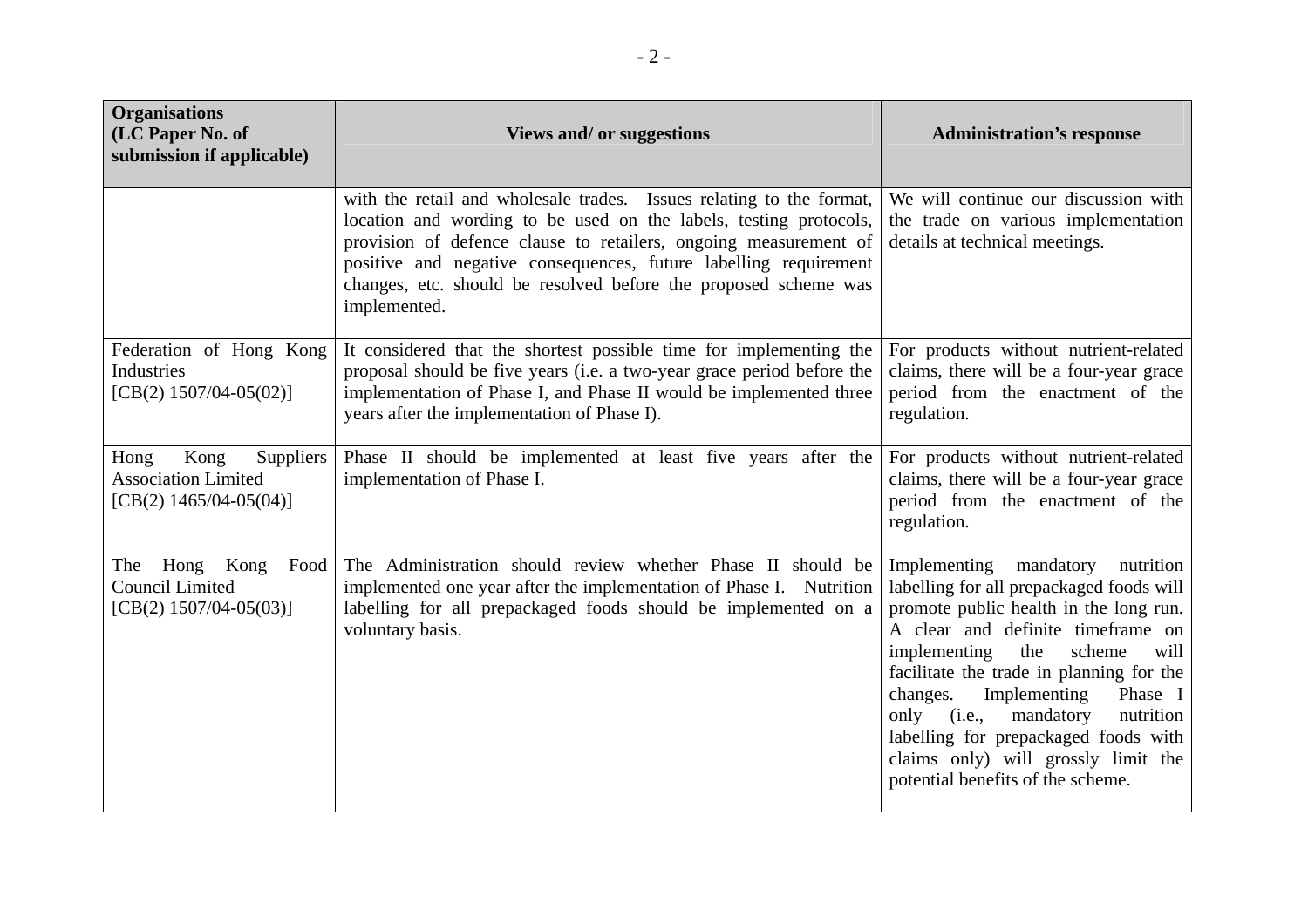| <b>Organisations</b><br>(LC Paper No. of<br>submission if applicable)                | <b>Views and/ or suggestions</b>                                                                                                                                                                                                                                                                                                                                     | <b>Administration's response</b>                                                                                                                                                                                                                                                                                                                                                                                                                        |
|--------------------------------------------------------------------------------------|----------------------------------------------------------------------------------------------------------------------------------------------------------------------------------------------------------------------------------------------------------------------------------------------------------------------------------------------------------------------|---------------------------------------------------------------------------------------------------------------------------------------------------------------------------------------------------------------------------------------------------------------------------------------------------------------------------------------------------------------------------------------------------------------------------------------------------------|
|                                                                                      | with the retail and wholesale trades. Issues relating to the format,<br>location and wording to be used on the labels, testing protocols,<br>provision of defence clause to retailers, ongoing measurement of<br>positive and negative consequences, future labelling requirement<br>changes, etc. should be resolved before the proposed scheme was<br>implemented. | We will continue our discussion with<br>the trade on various implementation<br>details at technical meetings.                                                                                                                                                                                                                                                                                                                                           |
| Federation of Hong Kong<br>Industries<br>[CB(2) $1507/04-05(02)$ ]                   | It considered that the shortest possible time for implementing the<br>proposal should be five years (i.e. a two-year grace period before the<br>implementation of Phase I, and Phase II would be implemented three<br>years after the implementation of Phase I).                                                                                                    | For products without nutrient-related<br>claims, there will be a four-year grace<br>period from the enactment of the<br>regulation.                                                                                                                                                                                                                                                                                                                     |
| Kong<br>Hong<br>Suppliers<br><b>Association Limited</b><br>[CB(2) $1465/04-05(04)$ ] | Phase II should be implemented at least five years after the<br>implementation of Phase I.                                                                                                                                                                                                                                                                           | For products without nutrient-related<br>claims, there will be a four-year grace<br>period from the enactment of the<br>regulation.                                                                                                                                                                                                                                                                                                                     |
| Kong<br>Hong<br>Food<br>The<br>Council Limited<br>[CB(2) $1507/04-05(03)$ ]          | The Administration should review whether Phase II should be<br>implemented one year after the implementation of Phase I. Nutrition<br>labelling for all prepackaged foods should be implemented on a<br>voluntary basis.                                                                                                                                             | Implementing mandatory<br>nutrition<br>labelling for all prepackaged foods will<br>promote public health in the long run.<br>A clear and definite timeframe on<br>implementing<br>the<br>scheme<br>will<br>facilitate the trade in planning for the<br>Implementing<br>changes.<br>Phase I<br>only (i.e.,<br>mandatory<br>nutrition<br>labelling for prepackaged foods with<br>claims only) will grossly limit the<br>potential benefits of the scheme. |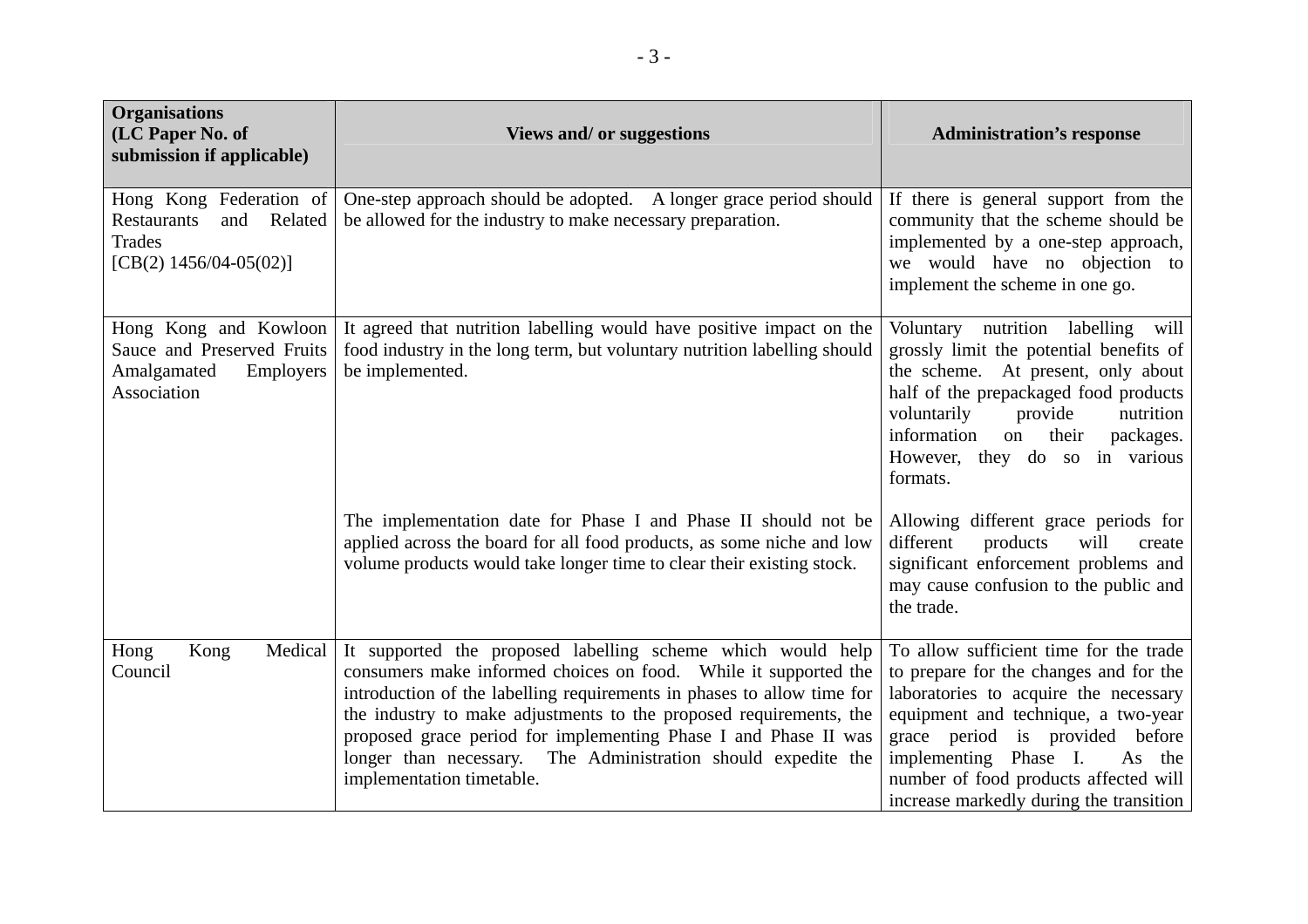| <b>Organisations</b><br>(LC Paper No. of<br>submission if applicable)                                  | <b>Views and/ or suggestions</b>                                                                                                                                                                                                                                                                                                                                                                                                                | <b>Administration's response</b>                                                                                                                                                                                                                                                                                           |
|--------------------------------------------------------------------------------------------------------|-------------------------------------------------------------------------------------------------------------------------------------------------------------------------------------------------------------------------------------------------------------------------------------------------------------------------------------------------------------------------------------------------------------------------------------------------|----------------------------------------------------------------------------------------------------------------------------------------------------------------------------------------------------------------------------------------------------------------------------------------------------------------------------|
| Hong Kong Federation of<br>Related<br><b>Restaurants</b><br>and<br>Trades<br>[CB(2) $1456/04-05(02)$ ] | One-step approach should be adopted. A longer grace period should<br>be allowed for the industry to make necessary preparation.                                                                                                                                                                                                                                                                                                                 | If there is general support from the<br>community that the scheme should be<br>implemented by a one-step approach,<br>we would have no objection to<br>implement the scheme in one go.                                                                                                                                     |
| Hong Kong and Kowloon<br>Sauce and Preserved Fruits<br>Amalgamated<br>Employers<br>Association         | It agreed that nutrition labelling would have positive impact on the<br>food industry in the long term, but voluntary nutrition labelling should<br>be implemented.                                                                                                                                                                                                                                                                             | Voluntary nutrition labelling<br>will<br>grossly limit the potential benefits of<br>the scheme. At present, only about<br>half of the prepackaged food products<br>voluntarily<br>nutrition<br>provide<br>information<br>their<br>packages.<br>on<br>However, they do so in various<br>formats.                            |
|                                                                                                        | The implementation date for Phase I and Phase II should not be<br>applied across the board for all food products, as some niche and low<br>volume products would take longer time to clear their existing stock.                                                                                                                                                                                                                                | Allowing different grace periods for<br>different<br>products<br>will<br>create<br>significant enforcement problems and<br>may cause confusion to the public and<br>the trade.                                                                                                                                             |
| Medical<br>Hong<br>Kong<br>Council                                                                     | It supported the proposed labelling scheme which would help<br>consumers make informed choices on food. While it supported the<br>introduction of the labelling requirements in phases to allow time for<br>the industry to make adjustments to the proposed requirements, the<br>proposed grace period for implementing Phase I and Phase II was<br>longer than necessary. The Administration should expedite the<br>implementation timetable. | To allow sufficient time for the trade<br>to prepare for the changes and for the<br>laboratories to acquire the necessary<br>equipment and technique, a two-year<br>grace period is provided before<br>implementing Phase I.<br>As the<br>number of food products affected will<br>increase markedly during the transition |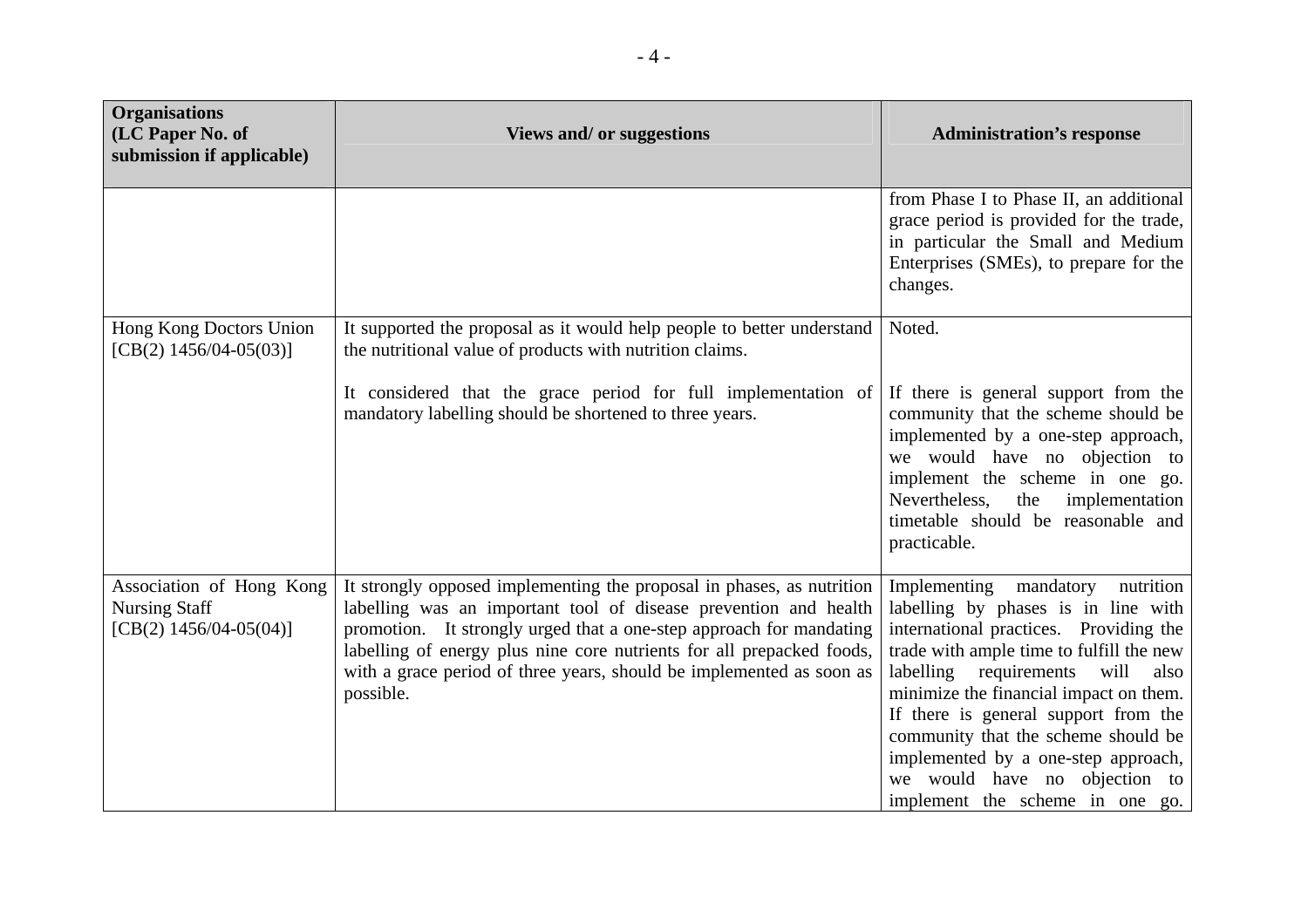| <b>Organisations</b><br>(LC Paper No. of<br>submission if applicable)         | Views and/ or suggestions                                                                                                                                                                                                                                                                                                                                                      | <b>Administration's response</b>                                                                                                                                                                                                                                                                                                                                                                                                                  |
|-------------------------------------------------------------------------------|--------------------------------------------------------------------------------------------------------------------------------------------------------------------------------------------------------------------------------------------------------------------------------------------------------------------------------------------------------------------------------|---------------------------------------------------------------------------------------------------------------------------------------------------------------------------------------------------------------------------------------------------------------------------------------------------------------------------------------------------------------------------------------------------------------------------------------------------|
|                                                                               |                                                                                                                                                                                                                                                                                                                                                                                | from Phase I to Phase II, an additional<br>grace period is provided for the trade,<br>in particular the Small and Medium<br>Enterprises (SMEs), to prepare for the<br>changes.                                                                                                                                                                                                                                                                    |
| Hong Kong Doctors Union<br>[CB(2) $1456/04-05(03)$ ]                          | It supported the proposal as it would help people to better understand<br>the nutritional value of products with nutrition claims.                                                                                                                                                                                                                                             | Noted.                                                                                                                                                                                                                                                                                                                                                                                                                                            |
|                                                                               | It considered that the grace period for full implementation of<br>mandatory labelling should be shortened to three years.                                                                                                                                                                                                                                                      | If there is general support from the<br>community that the scheme should be<br>implemented by a one-step approach,<br>we would have no objection to<br>implement the scheme in one go.<br>Nevertheless,<br>the<br>implementation<br>timetable should be reasonable and<br>practicable.                                                                                                                                                            |
| Association of Hong Kong<br><b>Nursing Staff</b><br>[CB(2) $1456/04-05(04)$ ] | It strongly opposed implementing the proposal in phases, as nutrition<br>labelling was an important tool of disease prevention and health<br>promotion. It strongly urged that a one-step approach for mandating<br>labelling of energy plus nine core nutrients for all prepacked foods,<br>with a grace period of three years, should be implemented as soon as<br>possible. | Implementing mandatory<br>nutrition<br>labelling by phases is in line with<br>international practices. Providing the<br>trade with ample time to fulfill the new<br>labelling<br>requirements<br>will<br>also<br>minimize the financial impact on them.<br>If there is general support from the<br>community that the scheme should be<br>implemented by a one-step approach,<br>we would have no objection to<br>implement the scheme in one go. |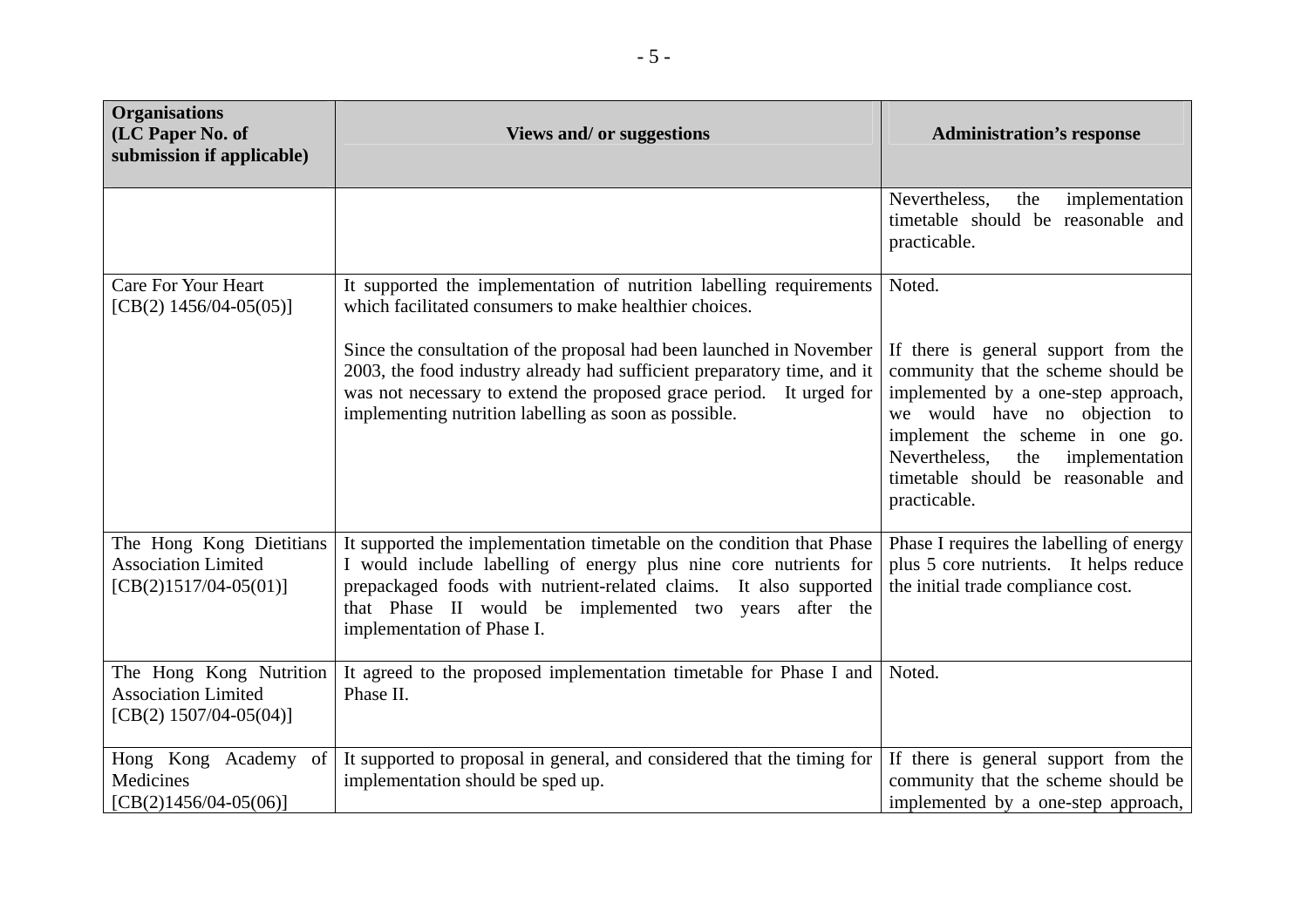| <b>Organisations</b><br>(LC Paper No. of<br>submission if applicable)              | Views and/ or suggestions                                                                                                                                                                                                                                                                              | <b>Administration's response</b>                                                                                                                                                                                                                                                    |
|------------------------------------------------------------------------------------|--------------------------------------------------------------------------------------------------------------------------------------------------------------------------------------------------------------------------------------------------------------------------------------------------------|-------------------------------------------------------------------------------------------------------------------------------------------------------------------------------------------------------------------------------------------------------------------------------------|
|                                                                                    |                                                                                                                                                                                                                                                                                                        | Nevertheless,<br>the<br>implementation<br>timetable should be reasonable and<br>practicable.                                                                                                                                                                                        |
| <b>Care For Your Heart</b><br>[CB(2) $1456/04-05(05)$ ]                            | It supported the implementation of nutrition labelling requirements<br>which facilitated consumers to make healthier choices.                                                                                                                                                                          | Noted.                                                                                                                                                                                                                                                                              |
|                                                                                    | Since the consultation of the proposal had been launched in November<br>2003, the food industry already had sufficient preparatory time, and it<br>was not necessary to extend the proposed grace period. It urged for<br>implementing nutrition labelling as soon as possible.                        | If there is general support from the<br>community that the scheme should be<br>implemented by a one-step approach,<br>we would have no objection to<br>implement the scheme in one go.<br>Nevertheless,<br>the implementation<br>timetable should be reasonable and<br>practicable. |
| The Hong Kong Dietitians<br><b>Association Limited</b><br>$[CB(2)1517/04-05(01)]$  | It supported the implementation timetable on the condition that Phase<br>I would include labelling of energy plus nine core nutrients for<br>prepackaged foods with nutrient-related claims. It also supported<br>that Phase II would be implemented two years after the<br>implementation of Phase I. | Phase I requires the labelling of energy<br>plus 5 core nutrients. It helps reduce<br>the initial trade compliance cost.                                                                                                                                                            |
| The Hong Kong Nutrition<br><b>Association Limited</b><br>[CB(2) $1507/04-05(04)$ ] | It agreed to the proposed implementation timetable for Phase I and<br>Phase II.                                                                                                                                                                                                                        | Noted.                                                                                                                                                                                                                                                                              |
| Hong Kong Academy of<br>Medicines<br>$[CB(2)1456/04-05(06)]$                       | It supported to proposal in general, and considered that the timing for<br>implementation should be sped up.                                                                                                                                                                                           | If there is general support from the<br>community that the scheme should be<br>implemented by a one-step approach,                                                                                                                                                                  |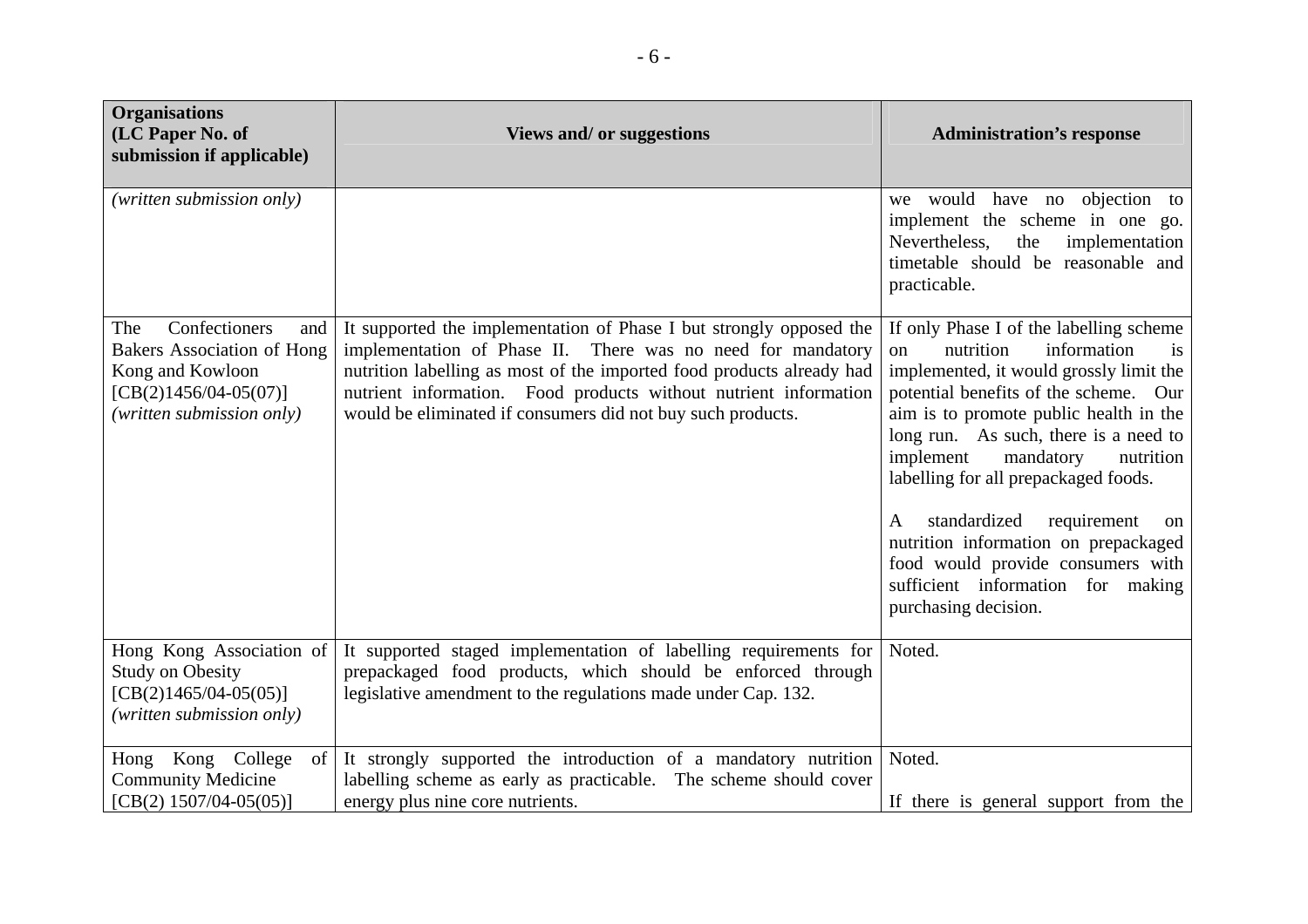| <b>Organisations</b><br>(LC Paper No. of<br>submission if applicable)                                                                        | Views and/ or suggestions                                                                                                                                                                                                                                                                                                                      | <b>Administration's response</b>                                                                                                                                                                                                                                                                                                                                                                                                                                                                                                           |
|----------------------------------------------------------------------------------------------------------------------------------------------|------------------------------------------------------------------------------------------------------------------------------------------------------------------------------------------------------------------------------------------------------------------------------------------------------------------------------------------------|--------------------------------------------------------------------------------------------------------------------------------------------------------------------------------------------------------------------------------------------------------------------------------------------------------------------------------------------------------------------------------------------------------------------------------------------------------------------------------------------------------------------------------------------|
| (written submission only)                                                                                                                    |                                                                                                                                                                                                                                                                                                                                                | we would have no objection to<br>implement the scheme in one go.<br>Nevertheless,<br>implementation<br>the<br>timetable should be reasonable and<br>practicable.                                                                                                                                                                                                                                                                                                                                                                           |
| Confectioners<br>The<br>and<br><b>Bakers Association of Hong</b><br>Kong and Kowloon<br>$[CB(2)1456/04-05(07)]$<br>(written submission only) | It supported the implementation of Phase I but strongly opposed the<br>implementation of Phase II. There was no need for mandatory<br>nutrition labelling as most of the imported food products already had<br>nutrient information. Food products without nutrient information<br>would be eliminated if consumers did not buy such products. | If only Phase I of the labelling scheme<br>information<br>nutrition<br>$\Omega$<br>is<br>implemented, it would grossly limit the<br>potential benefits of the scheme. Our<br>aim is to promote public health in the<br>long run. As such, there is a need to<br>implement<br>mandatory<br>nutrition<br>labelling for all prepackaged foods.<br>standardized<br>requirement<br>$\mathbf{A}$<br>on<br>nutrition information on prepackaged<br>food would provide consumers with<br>sufficient information for making<br>purchasing decision. |
| Hong Kong Association of<br><b>Study on Obesity</b><br>$[CB(2)1465/04-05(05)]$<br>(written submission only)                                  | It supported staged implementation of labelling requirements for<br>prepackaged food products, which should be enforced through<br>legislative amendment to the regulations made under Cap. 132.                                                                                                                                               | Noted.                                                                                                                                                                                                                                                                                                                                                                                                                                                                                                                                     |
| Hong Kong College<br>$\sigma$ of<br><b>Community Medicine</b><br>$[CB(2) 1507/04-05(05)]$                                                    | It strongly supported the introduction of a mandatory nutrition<br>labelling scheme as early as practicable. The scheme should cover<br>energy plus nine core nutrients.                                                                                                                                                                       | Noted.<br>If there is general support from the                                                                                                                                                                                                                                                                                                                                                                                                                                                                                             |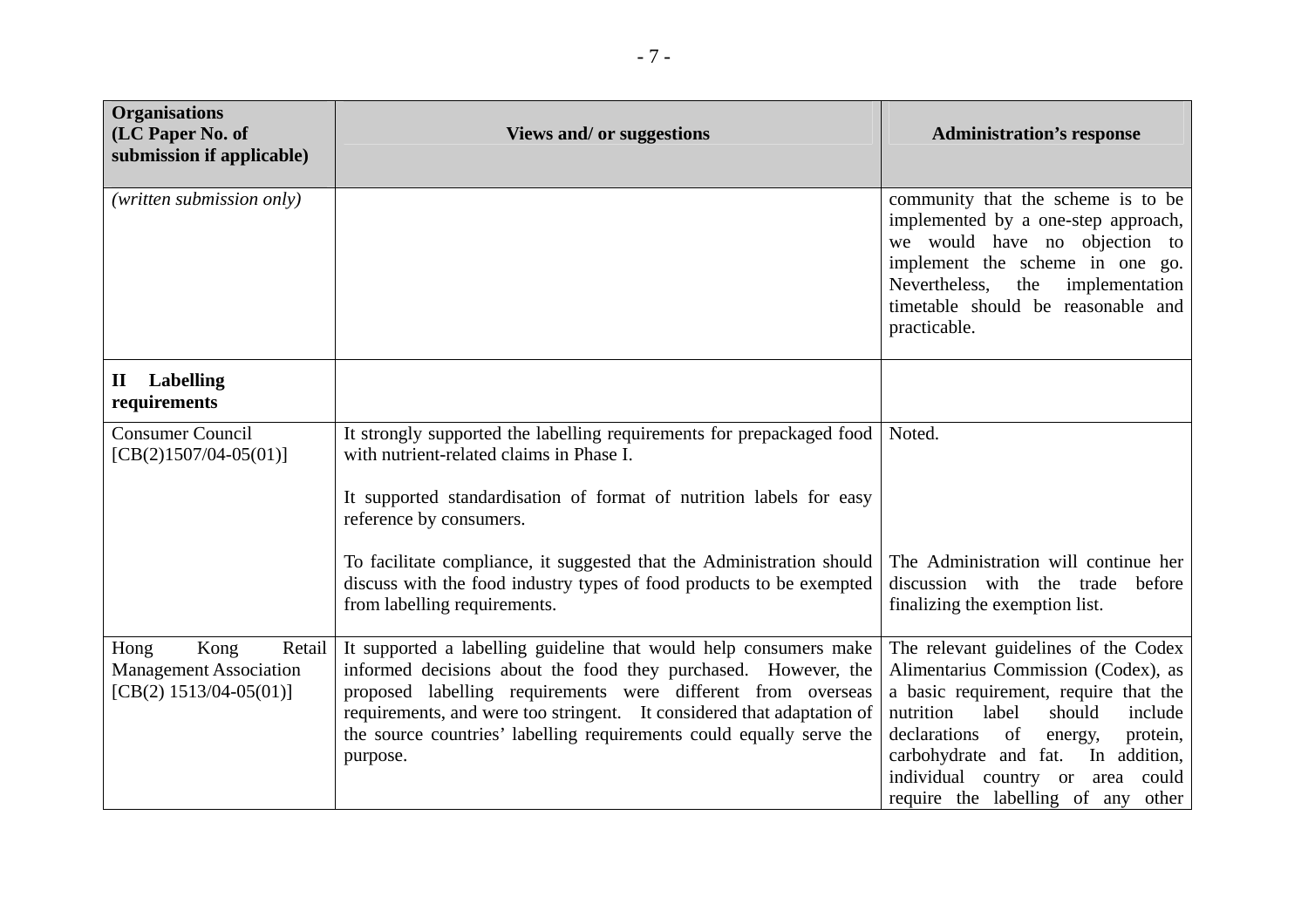| <b>Organisations</b><br>(LC Paper No. of<br>submission if applicable)               | <b>Views and/ or suggestions</b>                                                                                                                                                                                                                                                                                                                                  | <b>Administration's response</b>                                                                                                                                                                                                                                                                                                |
|-------------------------------------------------------------------------------------|-------------------------------------------------------------------------------------------------------------------------------------------------------------------------------------------------------------------------------------------------------------------------------------------------------------------------------------------------------------------|---------------------------------------------------------------------------------------------------------------------------------------------------------------------------------------------------------------------------------------------------------------------------------------------------------------------------------|
| (written submission only)                                                           |                                                                                                                                                                                                                                                                                                                                                                   | community that the scheme is to be<br>implemented by a one-step approach,<br>we would have no objection to<br>implement the scheme in one go.<br>Nevertheless,<br>the<br>implementation<br>timetable should be reasonable and<br>practicable.                                                                                   |
| <b>Labelling</b><br>$\mathbf H$<br>requirements                                     |                                                                                                                                                                                                                                                                                                                                                                   |                                                                                                                                                                                                                                                                                                                                 |
| <b>Consumer Council</b><br>$[CB(2)1507/04-05(01)]$                                  | It strongly supported the labelling requirements for prepackaged food<br>with nutrient-related claims in Phase I.                                                                                                                                                                                                                                                 | Noted.                                                                                                                                                                                                                                                                                                                          |
|                                                                                     | It supported standardisation of format of nutrition labels for easy<br>reference by consumers.                                                                                                                                                                                                                                                                    |                                                                                                                                                                                                                                                                                                                                 |
|                                                                                     | To facilitate compliance, it suggested that the Administration should<br>discuss with the food industry types of food products to be exempted<br>from labelling requirements.                                                                                                                                                                                     | The Administration will continue her<br>discussion with the trade<br>before<br>finalizing the exemption list.                                                                                                                                                                                                                   |
| Kong<br>Retail<br>Hong<br><b>Management Association</b><br>$[CB(2) 1513/04-05(01)]$ | It supported a labelling guideline that would help consumers make<br>informed decisions about the food they purchased. However, the<br>proposed labelling requirements were different from overseas<br>requirements, and were too stringent. It considered that adaptation of<br>the source countries' labelling requirements could equally serve the<br>purpose. | The relevant guidelines of the Codex<br>Alimentarius Commission (Codex), as<br>a basic requirement, require that the<br>nutrition<br>should<br>label<br>include<br>declarations<br>of<br>protein,<br>energy,<br>carbohydrate and fat.<br>In addition,<br>individual country or area could<br>require the labelling of any other |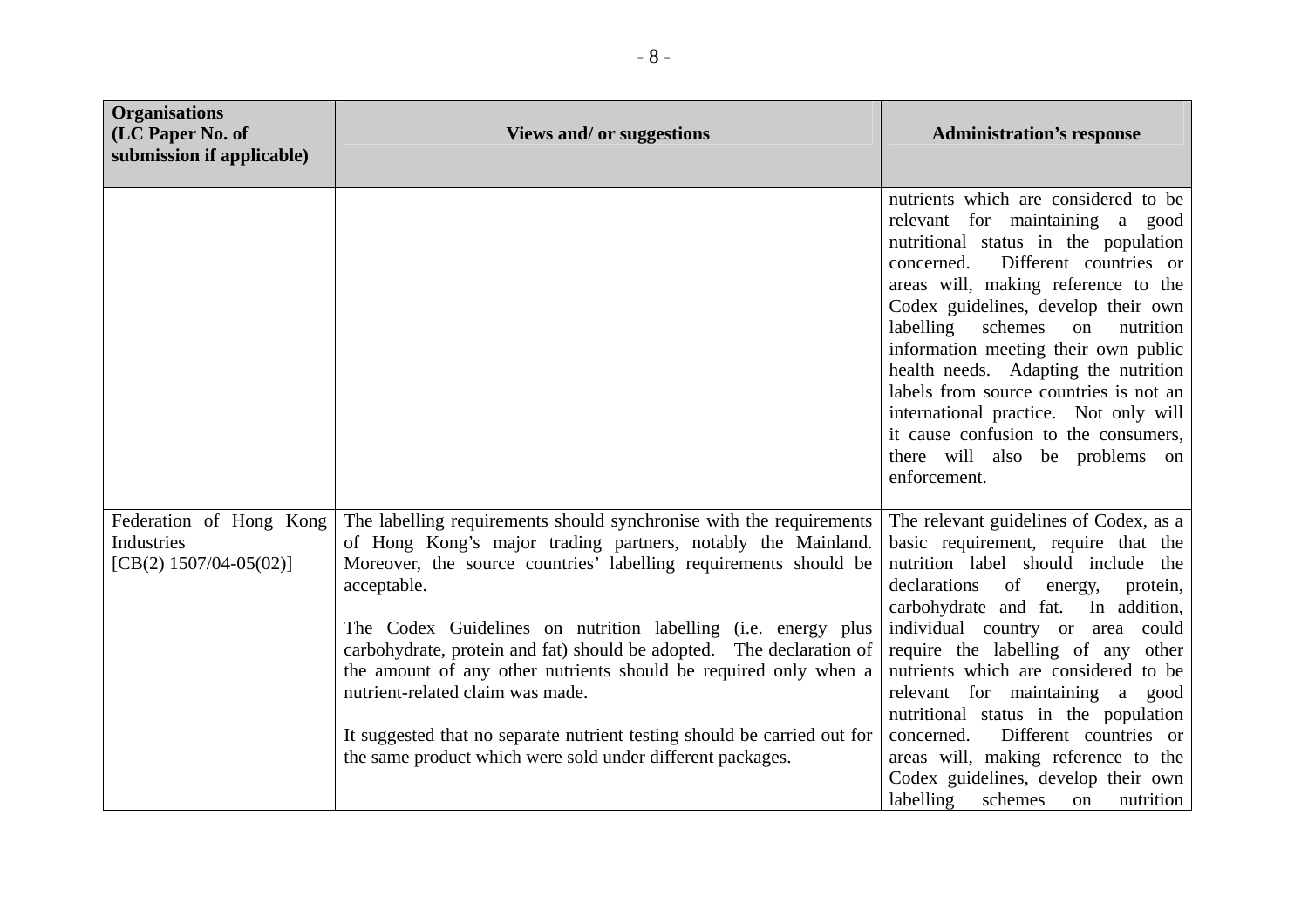| <b>Organisations</b><br>(LC Paper No. of<br>submission if applicable) | <b>Views and/ or suggestions</b>                                                                                                                                                                                                                                                                                                                                                                                                                                                                                                                                                                                  | <b>Administration's response</b>                                                                                                                                                                                                                                                                                                                                                                                                                                                                                                                                  |
|-----------------------------------------------------------------------|-------------------------------------------------------------------------------------------------------------------------------------------------------------------------------------------------------------------------------------------------------------------------------------------------------------------------------------------------------------------------------------------------------------------------------------------------------------------------------------------------------------------------------------------------------------------------------------------------------------------|-------------------------------------------------------------------------------------------------------------------------------------------------------------------------------------------------------------------------------------------------------------------------------------------------------------------------------------------------------------------------------------------------------------------------------------------------------------------------------------------------------------------------------------------------------------------|
|                                                                       |                                                                                                                                                                                                                                                                                                                                                                                                                                                                                                                                                                                                                   | nutrients which are considered to be<br>relevant for maintaining a good<br>nutritional status in the population<br>Different countries or<br>concerned.<br>areas will, making reference to the<br>Codex guidelines, develop their own<br>labelling<br>schemes<br>nutrition<br>on<br>information meeting their own public<br>health needs. Adapting the nutrition<br>labels from source countries is not an<br>international practice. Not only will<br>it cause confusion to the consumers,<br>there will also be problems on<br>enforcement.                     |
| Federation of Hong Kong<br>Industries<br>[CB(2) $1507/04-05(02)$ ]    | The labelling requirements should synchronise with the requirements<br>of Hong Kong's major trading partners, notably the Mainland.<br>Moreover, the source countries' labelling requirements should be<br>acceptable.<br>The Codex Guidelines on nutrition labelling (i.e. energy plus<br>carbohydrate, protein and fat) should be adopted. The declaration of<br>the amount of any other nutrients should be required only when a<br>nutrient-related claim was made.<br>It suggested that no separate nutrient testing should be carried out for<br>the same product which were sold under different packages. | The relevant guidelines of Codex, as a<br>basic requirement, require that the<br>nutrition label should include the<br>declarations<br>of energy,<br>protein,<br>carbohydrate and fat. In addition,<br>individual country or area could<br>require the labelling of any other<br>nutrients which are considered to be<br>relevant for maintaining a good<br>nutritional status in the population<br>Different countries or<br>concerned.<br>areas will, making reference to the<br>Codex guidelines, develop their own<br>labelling<br>schemes<br>nutrition<br>on |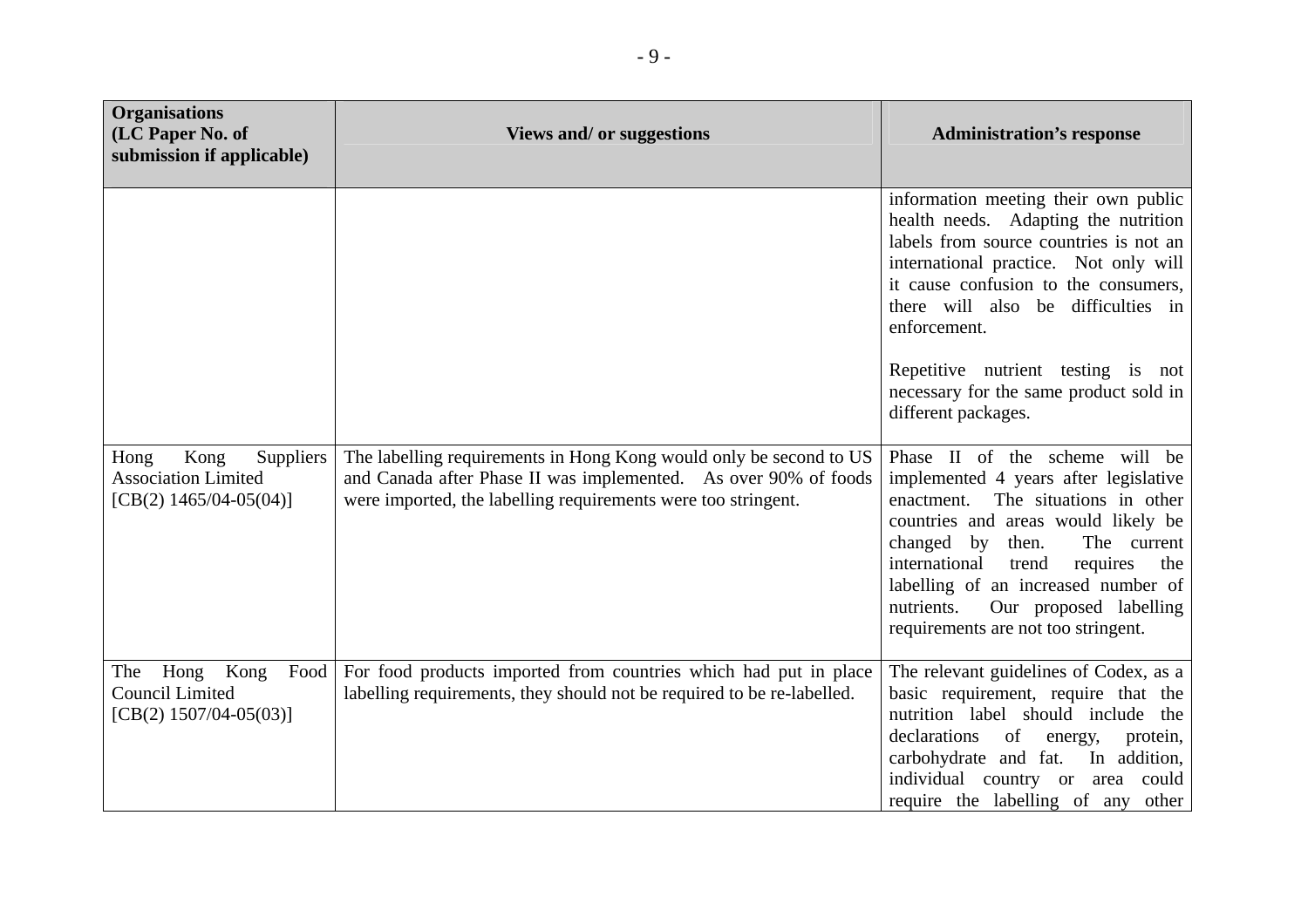| <b>Organisations</b><br>(LC Paper No. of<br>submission if applicable)                | <b>Views and/ or suggestions</b>                                                                                                                                                                       | <b>Administration's response</b>                                                                                                                                                                                                                                                                                                                                     |
|--------------------------------------------------------------------------------------|--------------------------------------------------------------------------------------------------------------------------------------------------------------------------------------------------------|----------------------------------------------------------------------------------------------------------------------------------------------------------------------------------------------------------------------------------------------------------------------------------------------------------------------------------------------------------------------|
|                                                                                      |                                                                                                                                                                                                        | information meeting their own public<br>health needs. Adapting the nutrition<br>labels from source countries is not an<br>international practice. Not only will<br>it cause confusion to the consumers,<br>there will also be difficulties in<br>enforcement.<br>Repetitive nutrient testing is not<br>necessary for the same product sold in<br>different packages. |
| Kong<br>Suppliers<br>Hong<br><b>Association Limited</b><br>[CB(2) $1465/04-05(04)$ ] | The labelling requirements in Hong Kong would only be second to US<br>and Canada after Phase II was implemented. As over 90% of foods<br>were imported, the labelling requirements were too stringent. | Phase II of the scheme will be<br>implemented 4 years after legislative<br>The situations in other<br>enactment.<br>countries and areas would likely be<br>changed by then.<br>The current<br>international<br>requires<br>trend<br>the<br>labelling of an increased number of<br>Our proposed labelling<br>nutrients.<br>requirements are not too stringent.        |
| Kong<br>Food<br>Hong<br>The<br><b>Council Limited</b><br>[CB(2) $1507/04-05(03)$ ]   | For food products imported from countries which had put in place<br>labelling requirements, they should not be required to be re-labelled.                                                             | The relevant guidelines of Codex, as a<br>basic requirement, require that the<br>nutrition label should include the<br>declarations<br>of<br>energy,<br>protein,<br>carbohydrate and fat.<br>In addition,<br>individual country or area could<br>require the labelling of any other                                                                                  |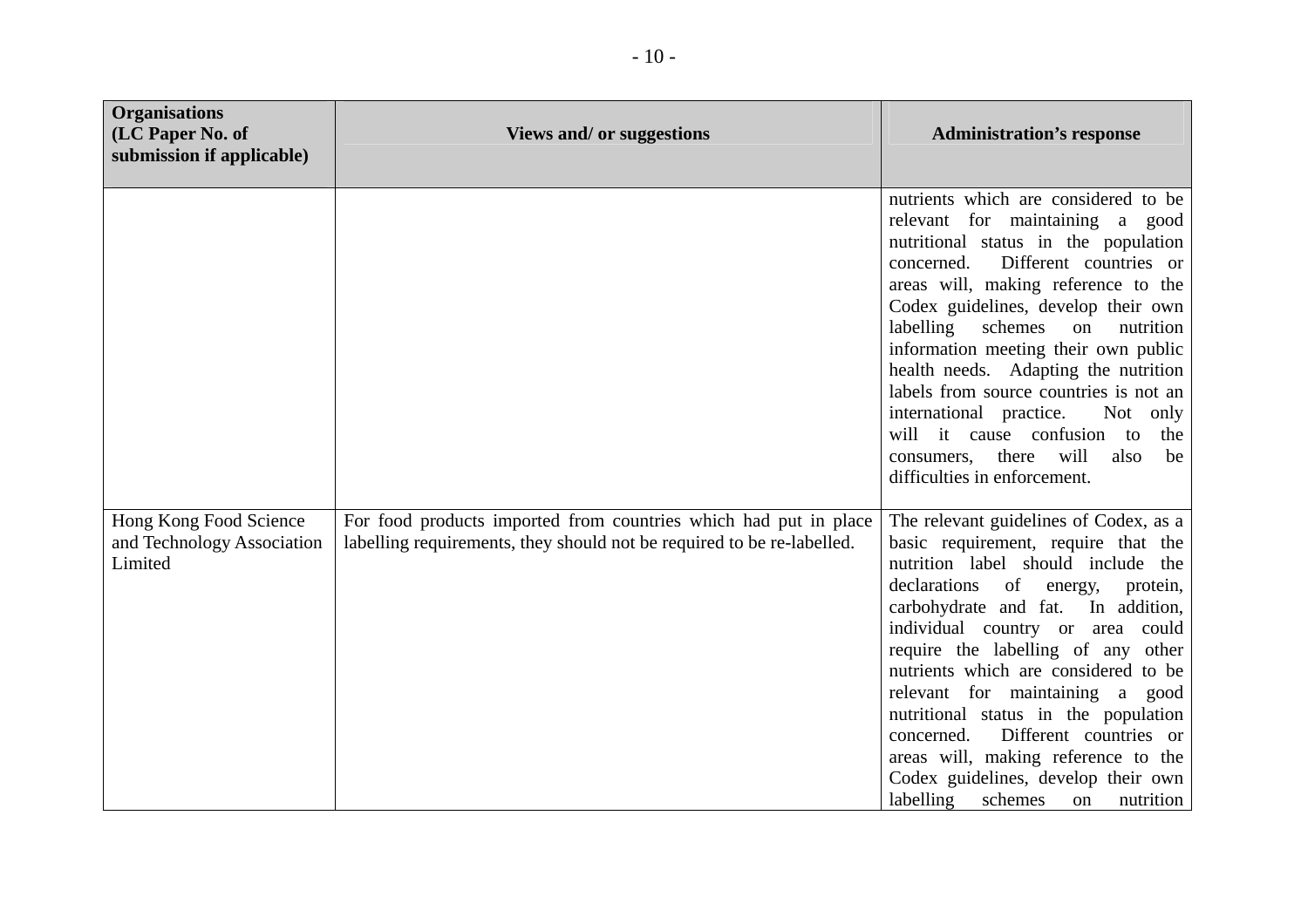| <b>Organisations</b><br>(LC Paper No. of<br>submission if applicable) | <b>Views and/ or suggestions</b>                                                                                                           | <b>Administration's response</b>                                                                                                                                                                                                                                                                                                                                                                                                                                                                                                                                  |
|-----------------------------------------------------------------------|--------------------------------------------------------------------------------------------------------------------------------------------|-------------------------------------------------------------------------------------------------------------------------------------------------------------------------------------------------------------------------------------------------------------------------------------------------------------------------------------------------------------------------------------------------------------------------------------------------------------------------------------------------------------------------------------------------------------------|
|                                                                       |                                                                                                                                            | nutrients which are considered to be<br>relevant for maintaining a good<br>nutritional status in the population<br>Different countries or<br>concerned.<br>areas will, making reference to the<br>Codex guidelines, develop their own<br>schemes<br>labelling<br>on<br>nutrition<br>information meeting their own public<br>health needs. Adapting the nutrition<br>labels from source countries is not an<br>international practice.<br>Not only<br>will it cause confusion to<br>the<br>consumers, there will<br>also<br>be<br>difficulties in enforcement.     |
| Hong Kong Food Science<br>and Technology Association<br>Limited       | For food products imported from countries which had put in place<br>labelling requirements, they should not be required to be re-labelled. | The relevant guidelines of Codex, as a<br>basic requirement, require that the<br>nutrition label should include the<br>of energy,<br>declarations<br>protein,<br>carbohydrate and fat. In addition,<br>individual country or area could<br>require the labelling of any other<br>nutrients which are considered to be<br>relevant for maintaining a good<br>nutritional status in the population<br>Different countries or<br>concerned.<br>areas will, making reference to the<br>Codex guidelines, develop their own<br>labelling<br>schemes<br>nutrition<br>on |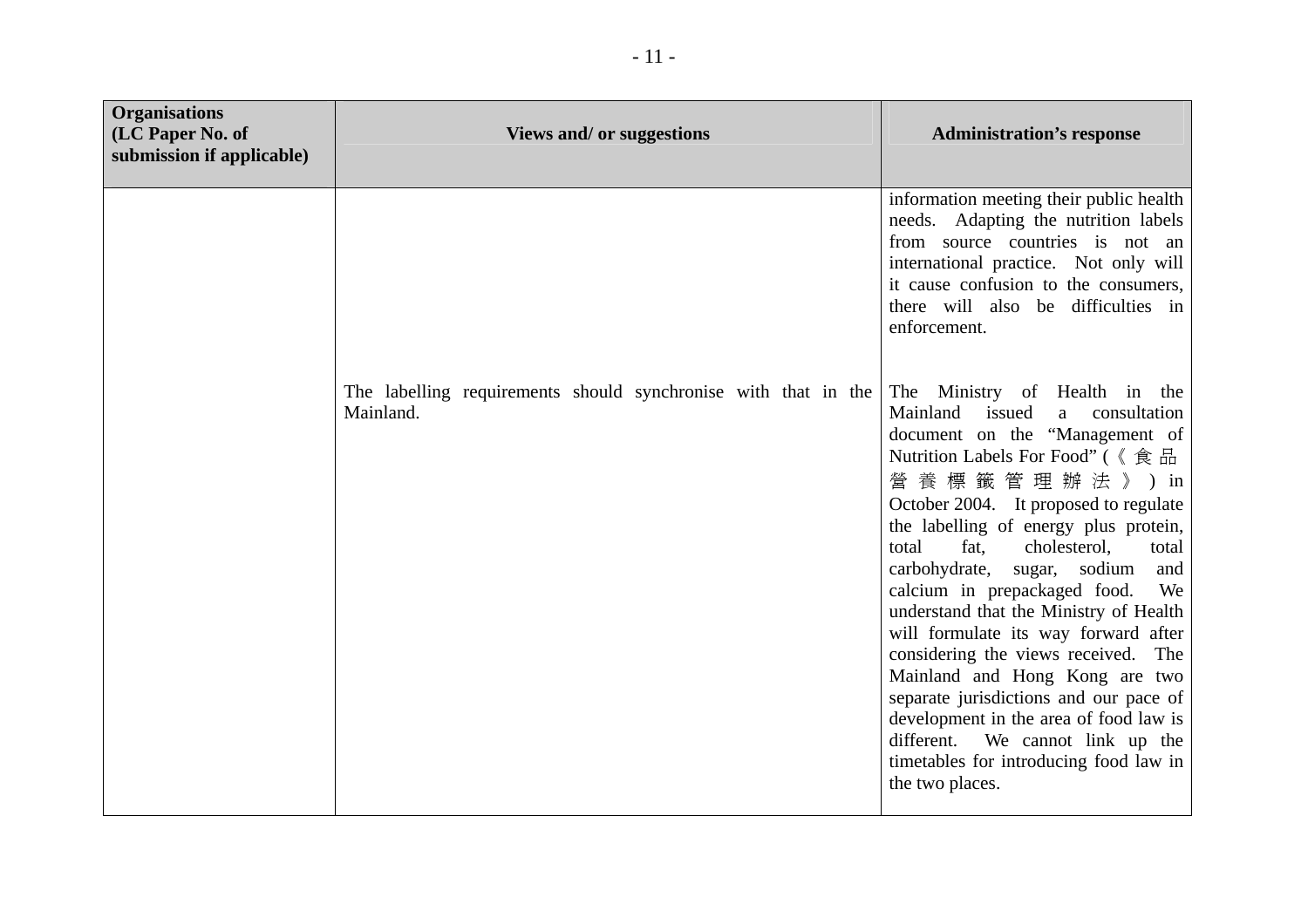| <b>Organisations</b><br>(LC Paper No. of<br>submission if applicable) | <b>Views and/ or suggestions</b>                                            | <b>Administration's response</b>                                                                                                                                                                                                                                                                                                                                                                                                                                                                                                                                                                                                                                                                                     |
|-----------------------------------------------------------------------|-----------------------------------------------------------------------------|----------------------------------------------------------------------------------------------------------------------------------------------------------------------------------------------------------------------------------------------------------------------------------------------------------------------------------------------------------------------------------------------------------------------------------------------------------------------------------------------------------------------------------------------------------------------------------------------------------------------------------------------------------------------------------------------------------------------|
|                                                                       |                                                                             | information meeting their public health<br>needs. Adapting the nutrition labels<br>from source countries is not an<br>international practice. Not only will<br>it cause confusion to the consumers,<br>there will also be difficulties in<br>enforcement.                                                                                                                                                                                                                                                                                                                                                                                                                                                            |
|                                                                       | The labelling requirements should synchronise with that in the<br>Mainland. | The Ministry of Health in the<br>Mainland issued<br>consultation<br>a a<br>document on the "Management of<br>Nutrition Labels For Food" (《食品<br>營養標籤管理辦法》)in<br>October 2004. It proposed to regulate<br>the labelling of energy plus protein,<br>total<br>fat.<br>cholesterol,<br>total<br>carbohydrate, sugar, sodium<br>and<br>calcium in prepackaged food.<br>We<br>understand that the Ministry of Health<br>will formulate its way forward after<br>considering the views received. The<br>Mainland and Hong Kong are two<br>separate jurisdictions and our pace of<br>development in the area of food law is<br>different. We cannot link up the<br>timetables for introducing food law in<br>the two places. |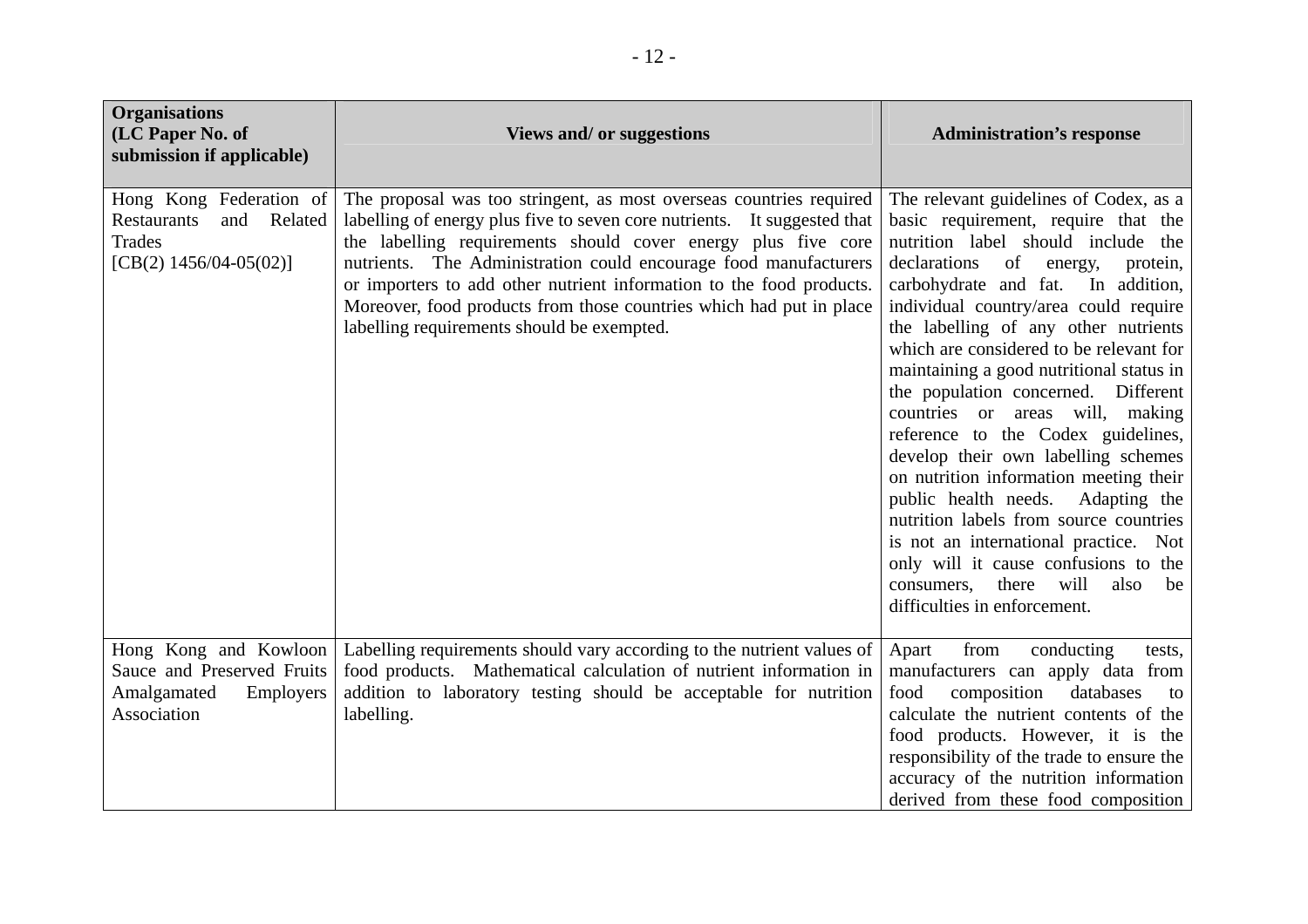| <b>Organisations</b><br>(LC Paper No. of<br>submission if applicable)                           | <b>Views and/ or suggestions</b>                                                                                                                                                                                                                                                                                                                                                                                                                                                  | <b>Administration's response</b>                                                                                                                                                                                                                                                                                                                                                                                                                                                                                                                                                                                                                                                                                                                                                                                          |
|-------------------------------------------------------------------------------------------------|-----------------------------------------------------------------------------------------------------------------------------------------------------------------------------------------------------------------------------------------------------------------------------------------------------------------------------------------------------------------------------------------------------------------------------------------------------------------------------------|---------------------------------------------------------------------------------------------------------------------------------------------------------------------------------------------------------------------------------------------------------------------------------------------------------------------------------------------------------------------------------------------------------------------------------------------------------------------------------------------------------------------------------------------------------------------------------------------------------------------------------------------------------------------------------------------------------------------------------------------------------------------------------------------------------------------------|
| Hong Kong Federation of<br>Restaurants<br>Related<br>and<br>Trades<br>[CB(2) $1456/04-05(02)$ ] | The proposal was too stringent, as most overseas countries required<br>labelling of energy plus five to seven core nutrients. It suggested that<br>the labelling requirements should cover energy plus five core<br>nutrients. The Administration could encourage food manufacturers<br>or importers to add other nutrient information to the food products.<br>Moreover, food products from those countries which had put in place<br>labelling requirements should be exempted. | The relevant guidelines of Codex, as a<br>basic requirement, require that the<br>nutrition label should include the<br>of energy,<br>declarations<br>protein,<br>carbohydrate and fat. In addition,<br>individual country/area could require<br>the labelling of any other nutrients<br>which are considered to be relevant for<br>maintaining a good nutritional status in<br>the population concerned. Different<br>countries or areas will, making<br>reference to the Codex guidelines,<br>develop their own labelling schemes<br>on nutrition information meeting their<br>public health needs.<br>Adapting the<br>nutrition labels from source countries<br>is not an international practice. Not<br>only will it cause confusions to the<br>consumers,<br>there will<br>also<br>be<br>difficulties in enforcement. |
| Hong Kong and Kowloon<br>Sauce and Preserved Fruits<br>Amalgamated<br>Employers<br>Association  | Labelling requirements should vary according to the nutrient values of<br>food products. Mathematical calculation of nutrient information in<br>addition to laboratory testing should be acceptable for nutrition<br>labelling.                                                                                                                                                                                                                                                   | from<br>Apart<br>conducting<br>tests,<br>manufacturers can apply data from<br>composition<br>databases<br>food<br>to<br>calculate the nutrient contents of the<br>food products. However, it is the<br>responsibility of the trade to ensure the<br>accuracy of the nutrition information<br>derived from these food composition                                                                                                                                                                                                                                                                                                                                                                                                                                                                                          |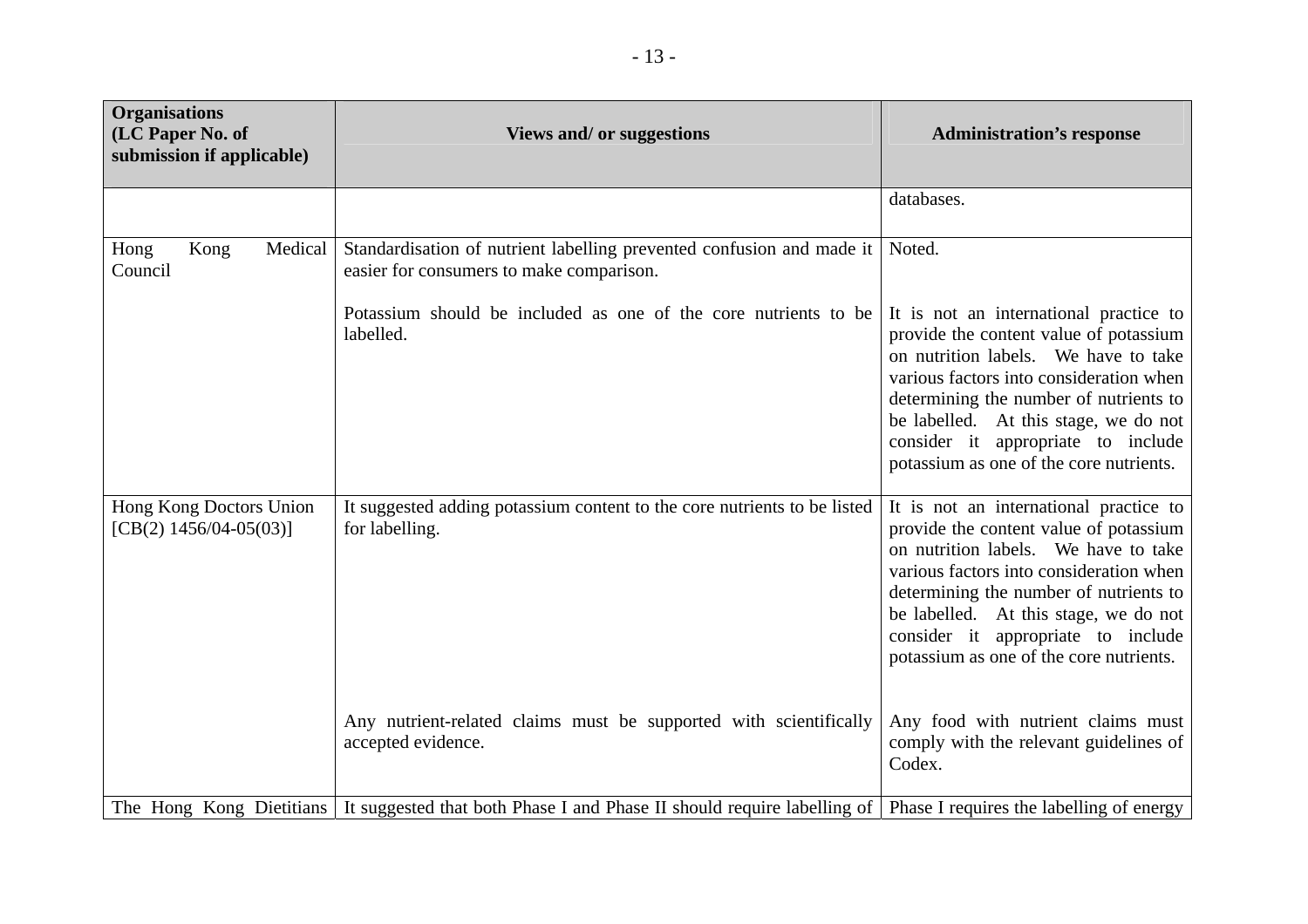| <b>Organisations</b><br>(LC Paper No. of<br>submission if applicable) | <b>Views and/ or suggestions</b>                                                                                  | <b>Administration's response</b>                                                                                                                                                                                                                                                                                                        |
|-----------------------------------------------------------------------|-------------------------------------------------------------------------------------------------------------------|-----------------------------------------------------------------------------------------------------------------------------------------------------------------------------------------------------------------------------------------------------------------------------------------------------------------------------------------|
|                                                                       |                                                                                                                   | databases.                                                                                                                                                                                                                                                                                                                              |
| Kong<br>Medical<br>Hong<br>Council                                    | Standardisation of nutrient labelling prevented confusion and made it<br>easier for consumers to make comparison. | Noted.                                                                                                                                                                                                                                                                                                                                  |
|                                                                       | Potassium should be included as one of the core nutrients to be<br>labelled.                                      | It is not an international practice to<br>provide the content value of potassium<br>on nutrition labels. We have to take<br>various factors into consideration when<br>determining the number of nutrients to<br>be labelled. At this stage, we do not<br>consider it appropriate to include<br>potassium as one of the core nutrients. |
| Hong Kong Doctors Union<br>[CB(2) $1456/04-05(03)$ ]                  | It suggested adding potassium content to the core nutrients to be listed<br>for labelling.                        | It is not an international practice to<br>provide the content value of potassium<br>on nutrition labels. We have to take<br>various factors into consideration when<br>determining the number of nutrients to<br>be labelled. At this stage, we do not<br>consider it appropriate to include<br>potassium as one of the core nutrients. |
|                                                                       | Any nutrient-related claims must be supported with scientifically<br>accepted evidence.                           | Any food with nutrient claims must<br>comply with the relevant guidelines of<br>Codex.                                                                                                                                                                                                                                                  |
| The Hong Kong Dietitians                                              | It suggested that both Phase I and Phase II should require labelling of Phase I requires the labelling of energy  |                                                                                                                                                                                                                                                                                                                                         |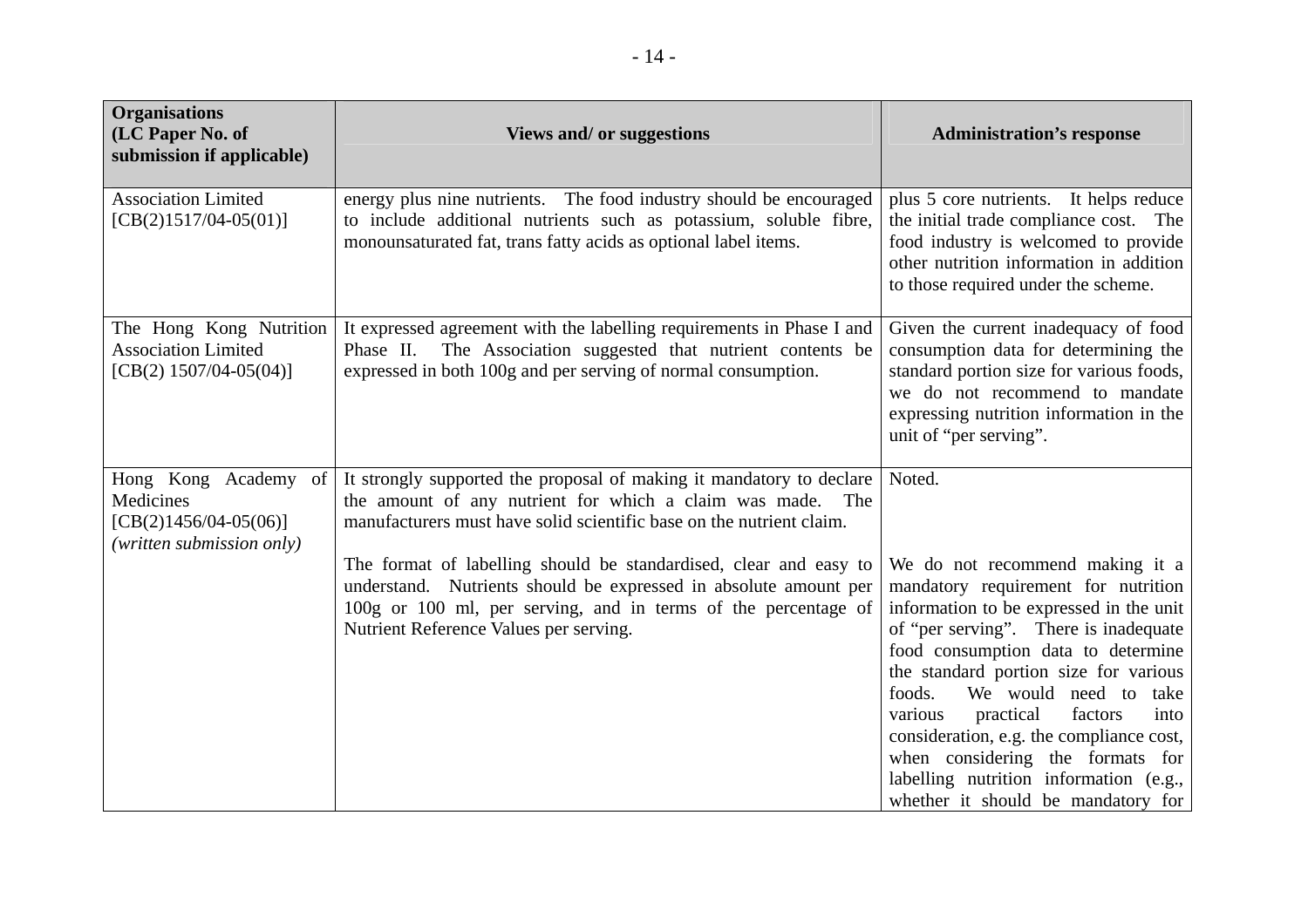| <b>Organisations</b><br>(LC Paper No. of<br>submission if applicable)                     | <b>Views and/ or suggestions</b>                                                                                                                                                                                                                                                                                                                                                                                                                                   | <b>Administration's response</b>                                                                                                                                                                                                                                                                                                                                                                                                                                                                     |
|-------------------------------------------------------------------------------------------|--------------------------------------------------------------------------------------------------------------------------------------------------------------------------------------------------------------------------------------------------------------------------------------------------------------------------------------------------------------------------------------------------------------------------------------------------------------------|------------------------------------------------------------------------------------------------------------------------------------------------------------------------------------------------------------------------------------------------------------------------------------------------------------------------------------------------------------------------------------------------------------------------------------------------------------------------------------------------------|
| <b>Association Limited</b><br>$[CB(2)1517/04-05(01)]$                                     | energy plus nine nutrients. The food industry should be encouraged<br>to include additional nutrients such as potassium, soluble fibre,<br>monounsaturated fat, trans fatty acids as optional label items.                                                                                                                                                                                                                                                         | plus 5 core nutrients. It helps reduce<br>the initial trade compliance cost. The<br>food industry is welcomed to provide<br>other nutrition information in addition<br>to those required under the scheme.                                                                                                                                                                                                                                                                                           |
| The Hong Kong Nutrition<br><b>Association Limited</b><br>[CB(2) $1507/04-05(04)$ ]        | It expressed agreement with the labelling requirements in Phase I and<br>Phase II. The Association suggested that nutrient contents be<br>expressed in both 100g and per serving of normal consumption.                                                                                                                                                                                                                                                            | Given the current inadequacy of food<br>consumption data for determining the<br>standard portion size for various foods,<br>we do not recommend to mandate<br>expressing nutrition information in the<br>unit of "per serving".                                                                                                                                                                                                                                                                      |
| Hong Kong Academy of<br>Medicines<br>$[CB(2)1456/04-05(06)]$<br>(written submission only) | It strongly supported the proposal of making it mandatory to declare<br>the amount of any nutrient for which a claim was made.<br>The<br>manufacturers must have solid scientific base on the nutrient claim.<br>The format of labelling should be standardised, clear and easy to<br>understand. Nutrients should be expressed in absolute amount per<br>100g or 100 ml, per serving, and in terms of the percentage of<br>Nutrient Reference Values per serving. | Noted.<br>We do not recommend making it a<br>mandatory requirement for nutrition<br>information to be expressed in the unit<br>of "per serving". There is inadequate<br>food consumption data to determine<br>the standard portion size for various<br>foods.<br>We would need to<br>take<br>various<br>practical<br>factors<br>into<br>consideration, e.g. the compliance cost,<br>when considering the formats for<br>labelling nutrition information (e.g.,<br>whether it should be mandatory for |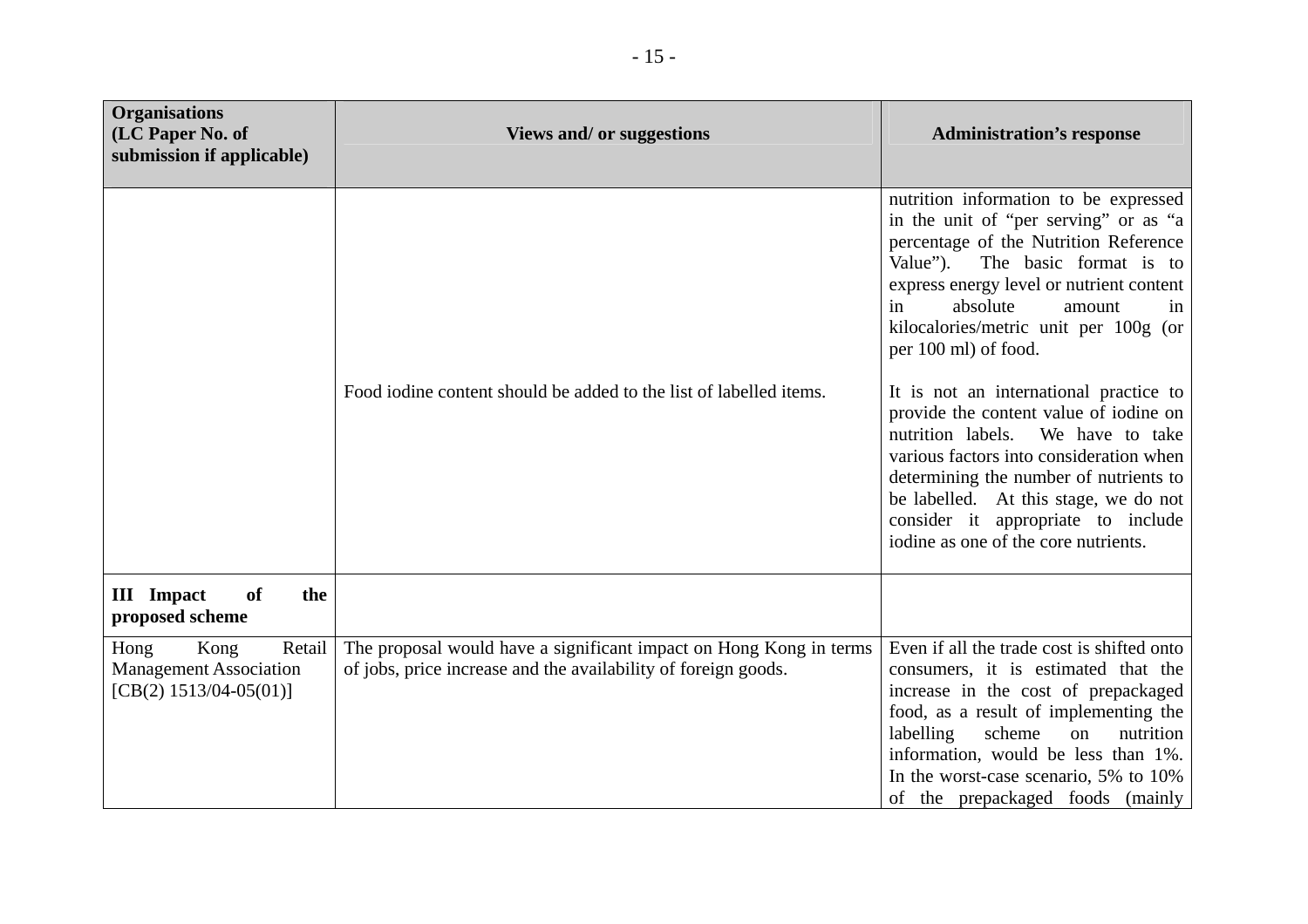| <b>Organisations</b><br>(LC Paper No. of<br>submission if applicable)               | <b>Views and/ or suggestions</b>                                                                                                     | <b>Administration's response</b>                                                                                                                                                                                                                                                                                                                                                                                                                                                                                                                                                                                                                  |
|-------------------------------------------------------------------------------------|--------------------------------------------------------------------------------------------------------------------------------------|---------------------------------------------------------------------------------------------------------------------------------------------------------------------------------------------------------------------------------------------------------------------------------------------------------------------------------------------------------------------------------------------------------------------------------------------------------------------------------------------------------------------------------------------------------------------------------------------------------------------------------------------------|
|                                                                                     | Food iodine content should be added to the list of labelled items.                                                                   | nutrition information to be expressed<br>in the unit of "per serving" or as "a<br>percentage of the Nutrition Reference<br>Value"). The basic format is to<br>express energy level or nutrient content<br>in<br>absolute<br>amount<br>in<br>kilocalories/metric unit per 100g (or<br>per 100 ml) of food.<br>It is not an international practice to<br>provide the content value of iodine on<br>nutrition labels.<br>We have to take<br>various factors into consideration when<br>determining the number of nutrients to<br>be labelled. At this stage, we do not<br>consider it appropriate to include<br>iodine as one of the core nutrients. |
| <b>III</b> Impact<br>of<br>the<br>proposed scheme                                   |                                                                                                                                      |                                                                                                                                                                                                                                                                                                                                                                                                                                                                                                                                                                                                                                                   |
| Hong<br>Kong<br>Retail<br><b>Management Association</b><br>$[CB(2) 1513/04-05(01)]$ | The proposal would have a significant impact on Hong Kong in terms<br>of jobs, price increase and the availability of foreign goods. | Even if all the trade cost is shifted onto<br>consumers, it is estimated that the<br>increase in the cost of prepackaged<br>food, as a result of implementing the<br>labelling<br>scheme<br>nutrition<br>on<br>information, would be less than 1%.<br>In the worst-case scenario, 5% to 10%<br>of the prepackaged foods (mainly                                                                                                                                                                                                                                                                                                                   |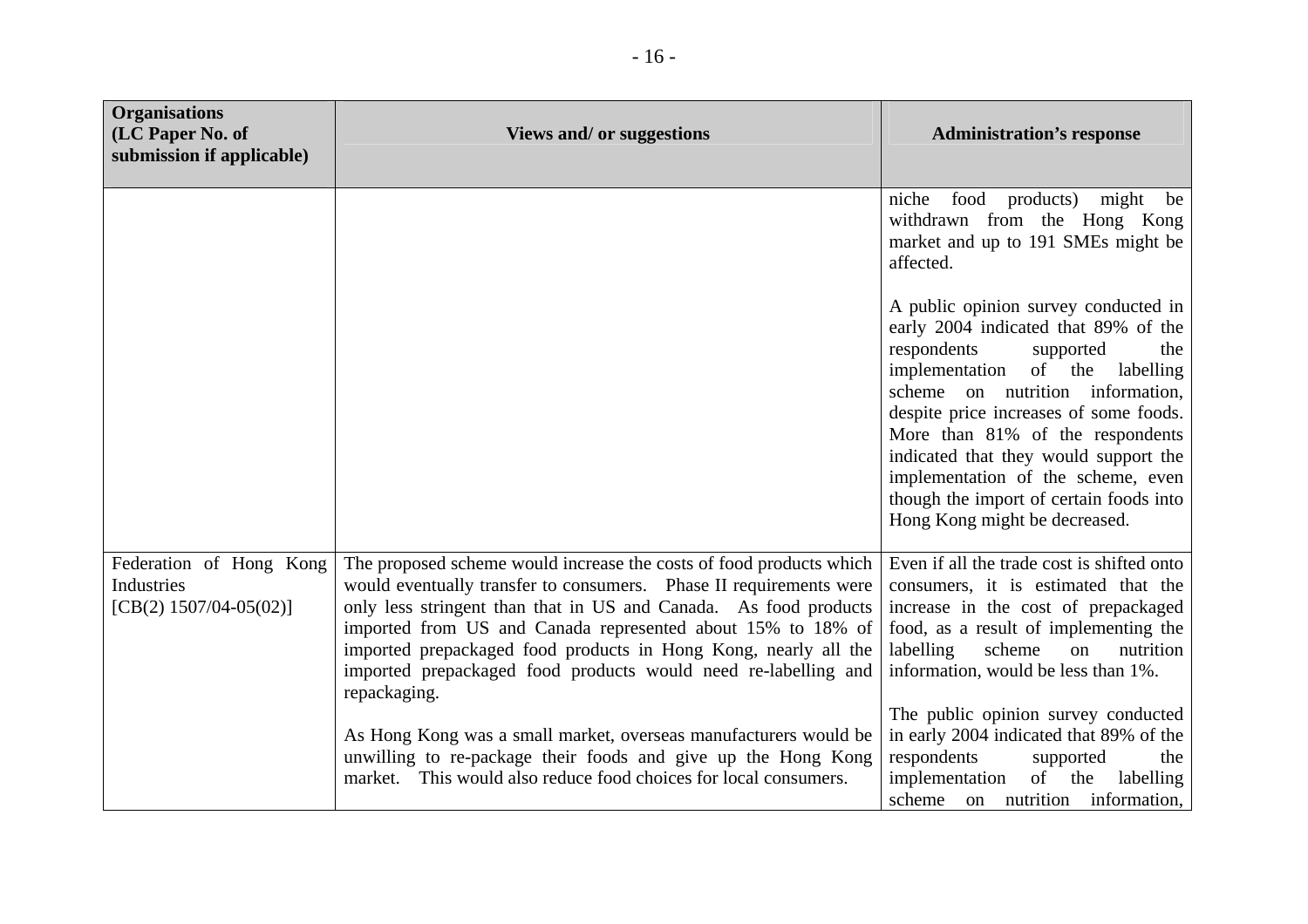| <b>Organisations</b><br>(LC Paper No. of<br>submission if applicable) | Views and/ or suggestions                                                                                                                                                                                                                                                                                                                                                                                                                                                                             | <b>Administration's response</b>                                                                                                                                                                                                                                                                                                                                                                                                   |
|-----------------------------------------------------------------------|-------------------------------------------------------------------------------------------------------------------------------------------------------------------------------------------------------------------------------------------------------------------------------------------------------------------------------------------------------------------------------------------------------------------------------------------------------------------------------------------------------|------------------------------------------------------------------------------------------------------------------------------------------------------------------------------------------------------------------------------------------------------------------------------------------------------------------------------------------------------------------------------------------------------------------------------------|
|                                                                       |                                                                                                                                                                                                                                                                                                                                                                                                                                                                                                       | food products) might<br>niche<br>be<br>withdrawn from the Hong Kong<br>market and up to 191 SMEs might be<br>affected.                                                                                                                                                                                                                                                                                                             |
|                                                                       |                                                                                                                                                                                                                                                                                                                                                                                                                                                                                                       | A public opinion survey conducted in<br>early 2004 indicated that 89% of the<br>respondents<br>supported<br>the<br>implementation of the<br>labelling<br>scheme on nutrition information,<br>despite price increases of some foods.<br>More than 81% of the respondents<br>indicated that they would support the<br>implementation of the scheme, even<br>though the import of certain foods into<br>Hong Kong might be decreased. |
| Federation of Hong Kong<br>Industries<br>[CB(2) $1507/04-05(02)$ ]    | The proposed scheme would increase the costs of food products which<br>would eventually transfer to consumers. Phase II requirements were<br>only less stringent than that in US and Canada. As food products<br>imported from US and Canada represented about 15% to 18% of<br>imported prepackaged food products in Hong Kong, nearly all the<br>imported prepackaged food products would need re-labelling and<br>repackaging.<br>As Hong Kong was a small market, overseas manufacturers would be | Even if all the trade cost is shifted onto<br>consumers, it is estimated that the<br>increase in the cost of prepackaged<br>food, as a result of implementing the<br>scheme<br>labelling<br>nutrition<br>on<br>information, would be less than 1%.<br>The public opinion survey conducted<br>in early 2004 indicated that 89% of the                                                                                               |
|                                                                       | unwilling to re-package their foods and give up the Hong Kong<br>market. This would also reduce food choices for local consumers.                                                                                                                                                                                                                                                                                                                                                                     | respondents<br>supported<br>the<br>implementation<br>of the<br>labelling<br>scheme on nutrition information,                                                                                                                                                                                                                                                                                                                       |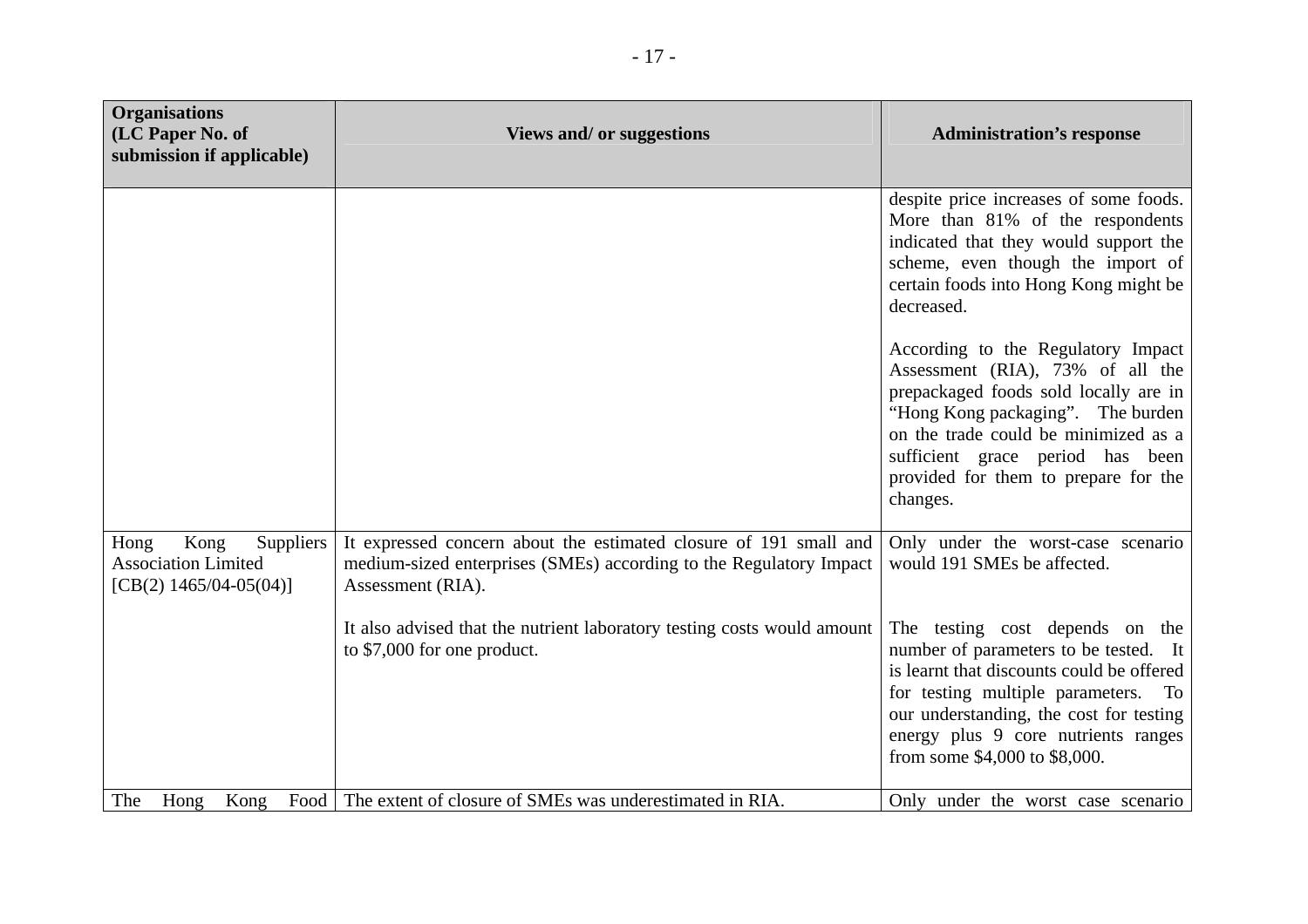| <b>Organisations</b><br>(LC Paper No. of<br>submission if applicable)                | Views and/ or suggestions                                                                                                                                    | <b>Administration's response</b>                                                                                                                                                                                                                                                     |
|--------------------------------------------------------------------------------------|--------------------------------------------------------------------------------------------------------------------------------------------------------------|--------------------------------------------------------------------------------------------------------------------------------------------------------------------------------------------------------------------------------------------------------------------------------------|
|                                                                                      |                                                                                                                                                              | despite price increases of some foods.<br>More than 81% of the respondents<br>indicated that they would support the<br>scheme, even though the import of<br>certain foods into Hong Kong might be<br>decreased.                                                                      |
|                                                                                      |                                                                                                                                                              | According to the Regulatory Impact<br>Assessment (RIA), 73% of all the<br>prepackaged foods sold locally are in<br>"Hong Kong packaging". The burden<br>on the trade could be minimized as a<br>sufficient grace period has been<br>provided for them to prepare for the<br>changes. |
| Kong<br>Suppliers<br>Hong<br><b>Association Limited</b><br>[CB(2) $1465/04-05(04)$ ] | It expressed concern about the estimated closure of 191 small and<br>medium-sized enterprises (SMEs) according to the Regulatory Impact<br>Assessment (RIA). | Only under the worst-case scenario<br>would 191 SMEs be affected.                                                                                                                                                                                                                    |
|                                                                                      | It also advised that the nutrient laboratory testing costs would amount<br>to \$7,000 for one product.                                                       | The testing cost depends on the<br>number of parameters to be tested. It<br>is learnt that discounts could be offered<br>for testing multiple parameters. To<br>our understanding, the cost for testing<br>energy plus 9 core nutrients ranges<br>from some \$4,000 to \$8,000.      |
| The<br>Hong<br>Kong                                                                  | Food The extent of closure of SMEs was underestimated in RIA.                                                                                                | Only under the worst case scenario                                                                                                                                                                                                                                                   |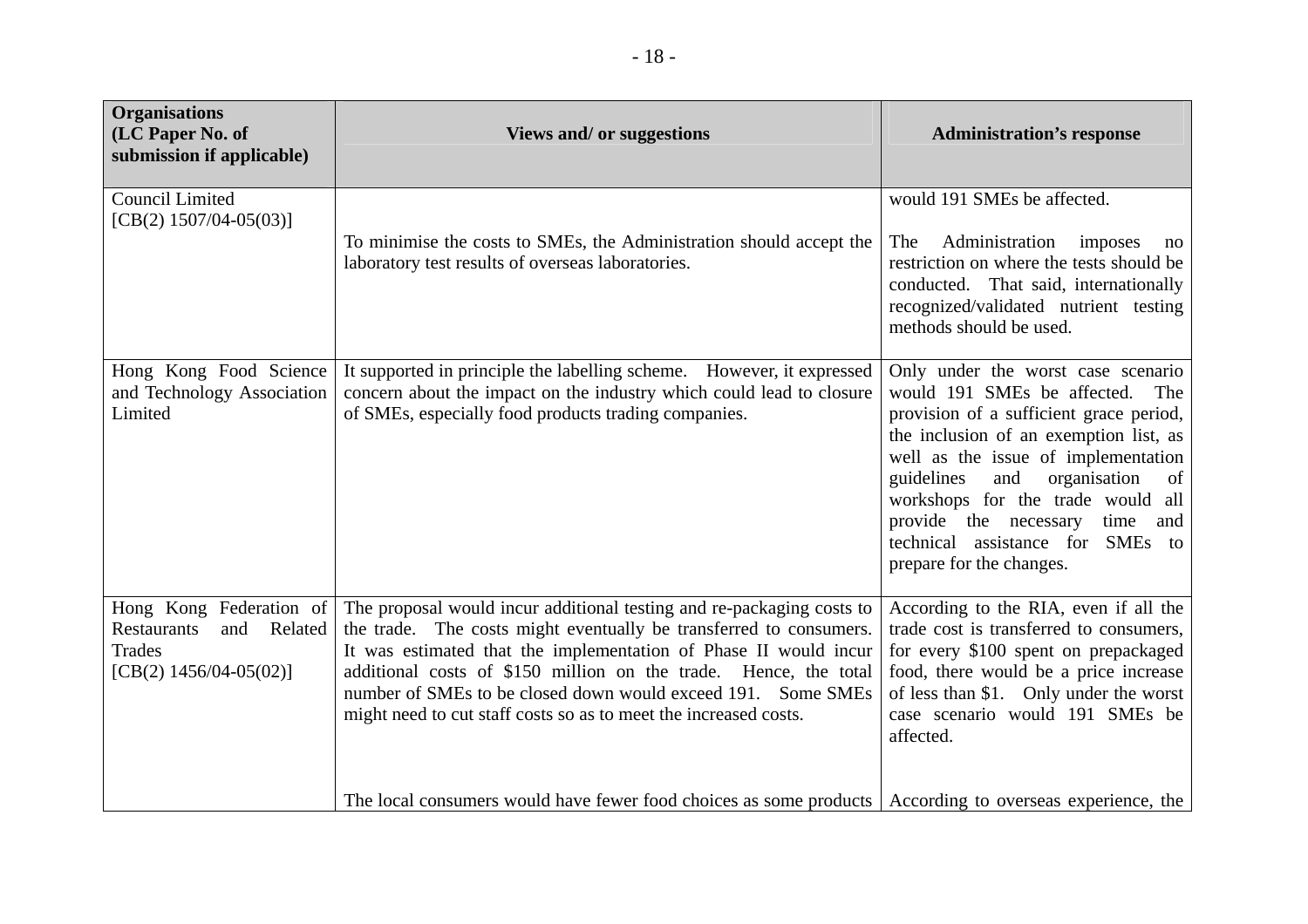| <b>Organisations</b><br>(LC Paper No. of<br>submission if applicable)                                      | <b>Views and/ or suggestions</b>                                                                                                                                                                                                                                                                                                                                                                                                                                                                                                      | <b>Administration's response</b>                                                                                                                                                                                                                                                                                                                                                    |
|------------------------------------------------------------------------------------------------------------|---------------------------------------------------------------------------------------------------------------------------------------------------------------------------------------------------------------------------------------------------------------------------------------------------------------------------------------------------------------------------------------------------------------------------------------------------------------------------------------------------------------------------------------|-------------------------------------------------------------------------------------------------------------------------------------------------------------------------------------------------------------------------------------------------------------------------------------------------------------------------------------------------------------------------------------|
| <b>Council Limited</b><br>[CB(2) $1507/04-05(03)$ ]                                                        | To minimise the costs to SMEs, the Administration should accept the<br>laboratory test results of overseas laboratories.                                                                                                                                                                                                                                                                                                                                                                                                              | would 191 SMEs be affected.<br>Administration imposes<br>The<br>no<br>restriction on where the tests should be<br>conducted. That said, internationally<br>recognized/validated nutrient testing<br>methods should be used.                                                                                                                                                         |
| Hong Kong Food Science<br>and Technology Association<br>Limited                                            | It supported in principle the labelling scheme. However, it expressed<br>concern about the impact on the industry which could lead to closure<br>of SMEs, especially food products trading companies.                                                                                                                                                                                                                                                                                                                                 | Only under the worst case scenario<br>would 191 SMEs be affected. The<br>provision of a sufficient grace period,<br>the inclusion of an exemption list, as<br>well as the issue of implementation<br>guidelines and organisation<br>of<br>workshops for the trade would all<br>provide the necessary<br>time<br>and<br>technical assistance for SMEs to<br>prepare for the changes. |
| Hong Kong Federation of<br>and Related<br><b>Restaurants</b><br><b>Trades</b><br>[CB(2) $1456/04-05(02)$ ] | The proposal would incur additional testing and re-packaging costs to<br>the trade. The costs might eventually be transferred to consumers.<br>It was estimated that the implementation of Phase II would incur<br>additional costs of \$150 million on the trade. Hence, the total<br>number of SMEs to be closed down would exceed 191. Some SMEs<br>might need to cut staff costs so as to meet the increased costs.<br>The local consumers would have fewer food choices as some products   According to overseas experience, the | According to the RIA, even if all the<br>trade cost is transferred to consumers,<br>for every \$100 spent on prepackaged<br>food, there would be a price increase<br>of less than \$1. Only under the worst<br>case scenario would 191 SMEs be<br>affected.                                                                                                                         |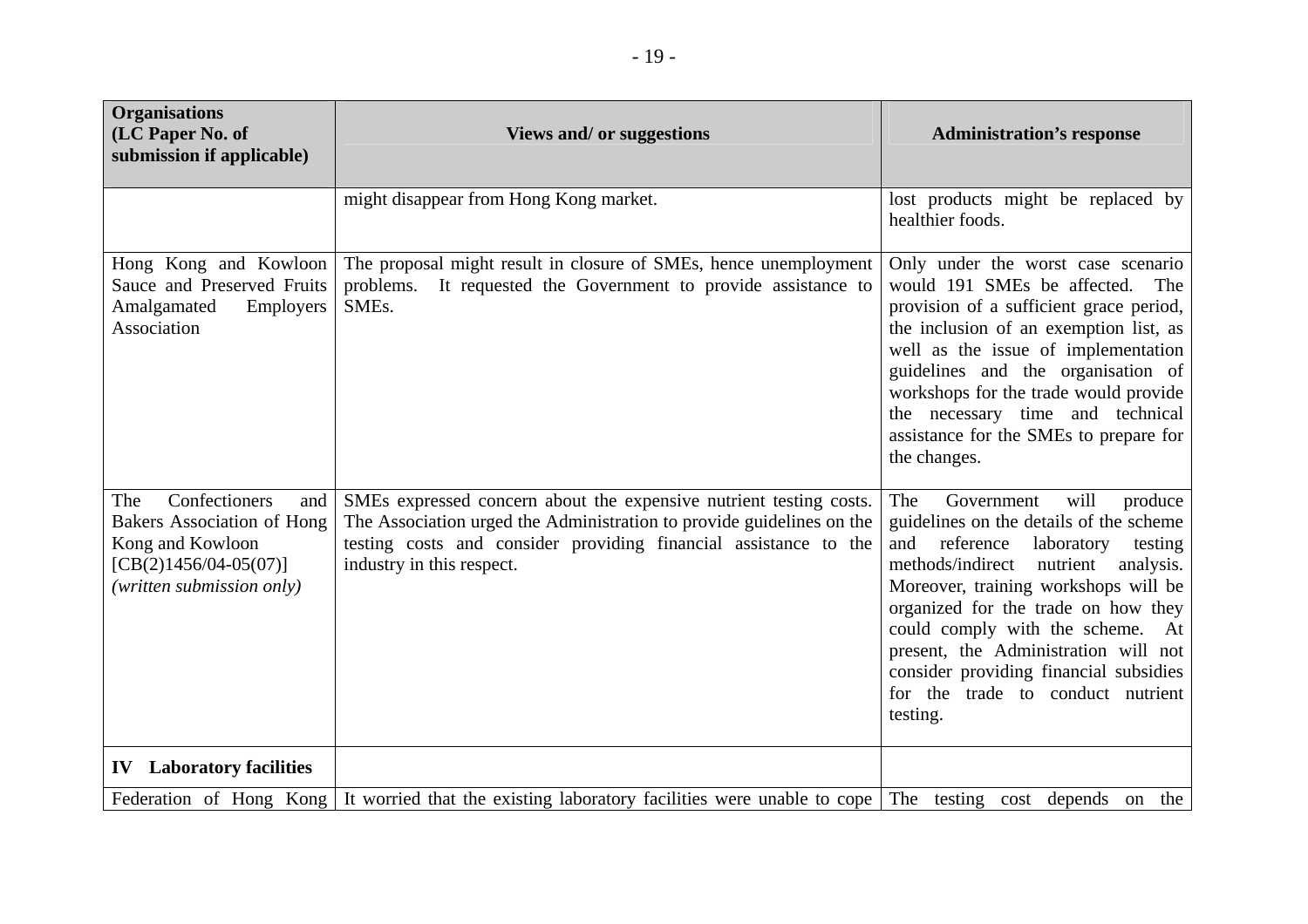| <b>Organisations</b><br>(LC Paper No. of<br>submission if applicable)                                                                        | <b>Views and/ or suggestions</b>                                                                                                                                                                                                             | <b>Administration's response</b>                                                                                                                                                                                                                                                                                                                                                                                             |
|----------------------------------------------------------------------------------------------------------------------------------------------|----------------------------------------------------------------------------------------------------------------------------------------------------------------------------------------------------------------------------------------------|------------------------------------------------------------------------------------------------------------------------------------------------------------------------------------------------------------------------------------------------------------------------------------------------------------------------------------------------------------------------------------------------------------------------------|
|                                                                                                                                              | might disappear from Hong Kong market.                                                                                                                                                                                                       | lost products might be replaced by<br>healthier foods.                                                                                                                                                                                                                                                                                                                                                                       |
| Hong Kong and Kowloon<br>Sauce and Preserved Fruits<br>Amalgamated<br>Employers<br>Association                                               | The proposal might result in closure of SMEs, hence unemployment<br>problems.<br>It requested the Government to provide assistance to<br>SME <sub>s</sub> .                                                                                  | Only under the worst case scenario<br>would 191 SMEs be affected.<br>The<br>provision of a sufficient grace period,<br>the inclusion of an exemption list, as<br>well as the issue of implementation<br>guidelines and the organisation of<br>workshops for the trade would provide<br>the necessary time and technical<br>assistance for the SMEs to prepare for<br>the changes.                                            |
| Confectioners<br>The<br>and<br><b>Bakers Association of Hong</b><br>Kong and Kowloon<br>$[CB(2)1456/04-05(07)]$<br>(written submission only) | SMEs expressed concern about the expensive nutrient testing costs.<br>The Association urged the Administration to provide guidelines on the<br>testing costs and consider providing financial assistance to the<br>industry in this respect. | Government<br>will<br>The<br>produce<br>guidelines on the details of the scheme<br>and reference<br>laboratory<br>testing<br>methods/indirect<br>nutrient<br>analysis.<br>Moreover, training workshops will be<br>organized for the trade on how they<br>could comply with the scheme. At<br>present, the Administration will not<br>consider providing financial subsidies<br>for the trade to conduct nutrient<br>testing. |
| <b>IV</b> Laboratory facilities                                                                                                              |                                                                                                                                                                                                                                              |                                                                                                                                                                                                                                                                                                                                                                                                                              |
|                                                                                                                                              | Federation of Hong Kong It worried that the existing laboratory facilities were unable to cope The testing cost depends on the                                                                                                               |                                                                                                                                                                                                                                                                                                                                                                                                                              |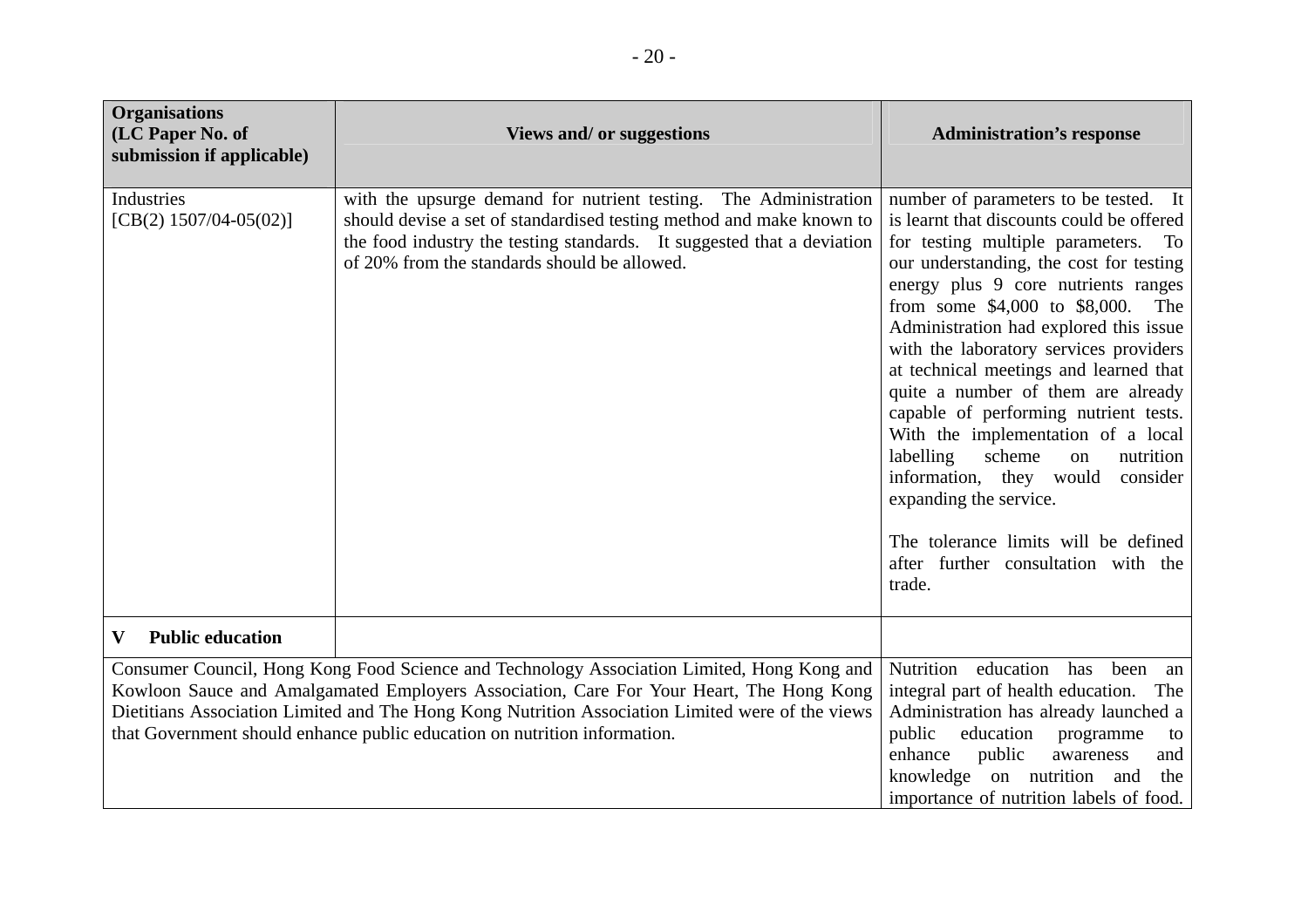| <b>Organisations</b><br>(LC Paper No. of<br>submission if applicable) | <b>Views and/ or suggestions</b>                                                                                                                                                                                                                                                                                                                                       | <b>Administration's response</b>                                                                                                                                                                                                                                                                                                                                                                                                                                                                                                                                                                                                                                                                              |
|-----------------------------------------------------------------------|------------------------------------------------------------------------------------------------------------------------------------------------------------------------------------------------------------------------------------------------------------------------------------------------------------------------------------------------------------------------|---------------------------------------------------------------------------------------------------------------------------------------------------------------------------------------------------------------------------------------------------------------------------------------------------------------------------------------------------------------------------------------------------------------------------------------------------------------------------------------------------------------------------------------------------------------------------------------------------------------------------------------------------------------------------------------------------------------|
| Industries<br>[CB(2) $1507/04-05(02)$ ]                               | with the upsurge demand for nutrient testing. The Administration<br>should devise a set of standardised testing method and make known to<br>the food industry the testing standards. It suggested that a deviation<br>of 20% from the standards should be allowed.                                                                                                     | number of parameters to be tested. It<br>is learnt that discounts could be offered<br>for testing multiple parameters. To<br>our understanding, the cost for testing<br>energy plus 9 core nutrients ranges<br>from some $$4,000$ to $$8,000$ .<br>The<br>Administration had explored this issue<br>with the laboratory services providers<br>at technical meetings and learned that<br>quite a number of them are already<br>capable of performing nutrient tests.<br>With the implementation of a local<br>scheme<br>labelling<br>nutrition<br>on<br>information, they would<br>consider<br>expanding the service.<br>The tolerance limits will be defined<br>after further consultation with the<br>trade. |
| $\mathbf{V}$<br><b>Public education</b>                               |                                                                                                                                                                                                                                                                                                                                                                        |                                                                                                                                                                                                                                                                                                                                                                                                                                                                                                                                                                                                                                                                                                               |
|                                                                       | Consumer Council, Hong Kong Food Science and Technology Association Limited, Hong Kong and<br>Kowloon Sauce and Amalgamated Employers Association, Care For Your Heart, The Hong Kong<br>Dietitians Association Limited and The Hong Kong Nutrition Association Limited were of the views<br>that Government should enhance public education on nutrition information. | Nutrition education has<br>been<br>an<br>integral part of health education.<br>The<br>Administration has already launched a<br>public<br>education<br>programme<br>to<br>enhance<br>public<br>awareness<br>and<br>knowledge on nutrition and<br>the<br>importance of nutrition labels of food.                                                                                                                                                                                                                                                                                                                                                                                                                |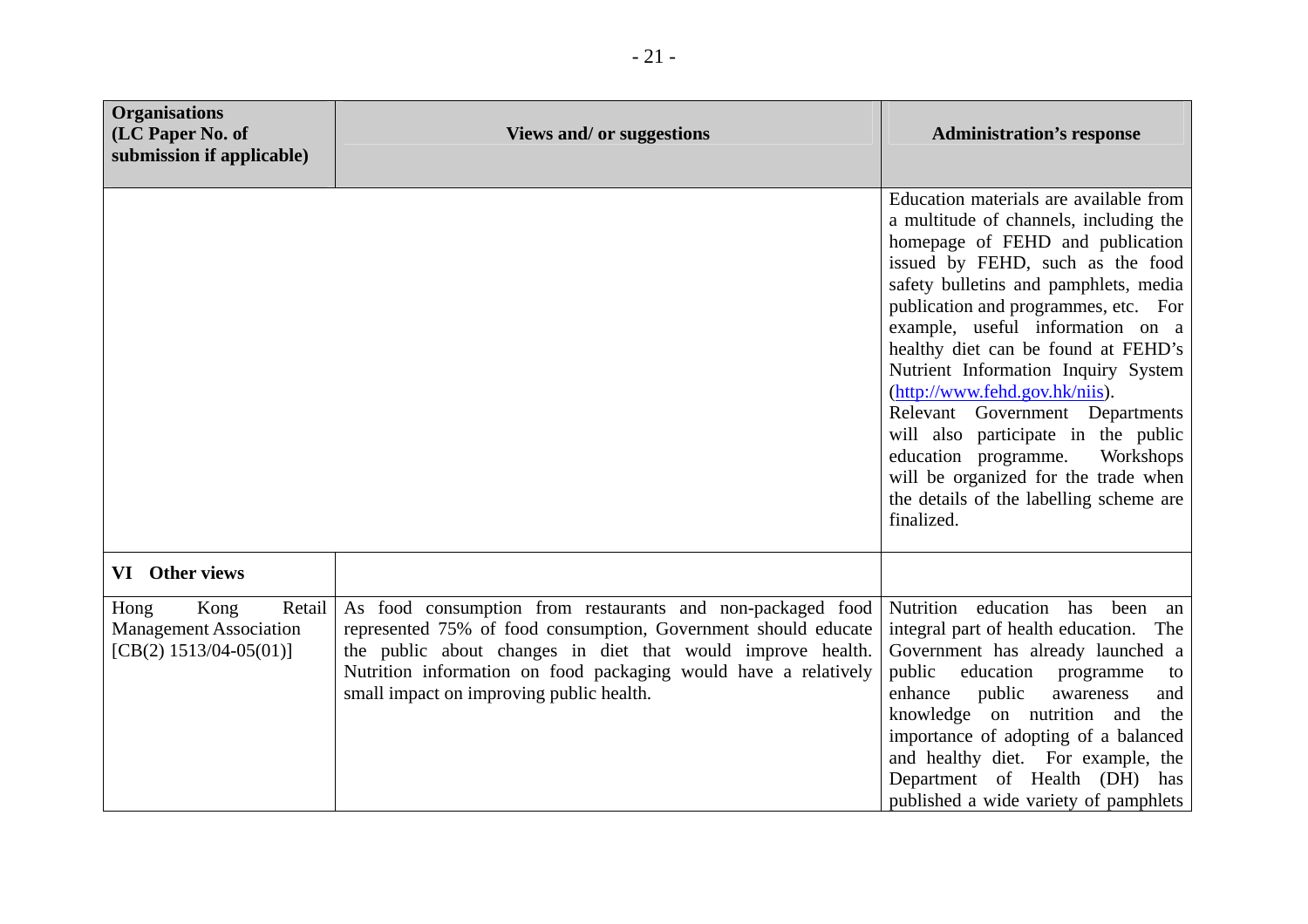| <b>Organisations</b><br>(LC Paper No. of<br>submission if applicable)               | <b>Views and/ or suggestions</b>                                                                                                                                                                                                                                                                           | <b>Administration's response</b>                                                                                                                                                                                                                                                                                                                                                                                                                                                                                                                                                                              |
|-------------------------------------------------------------------------------------|------------------------------------------------------------------------------------------------------------------------------------------------------------------------------------------------------------------------------------------------------------------------------------------------------------|---------------------------------------------------------------------------------------------------------------------------------------------------------------------------------------------------------------------------------------------------------------------------------------------------------------------------------------------------------------------------------------------------------------------------------------------------------------------------------------------------------------------------------------------------------------------------------------------------------------|
|                                                                                     |                                                                                                                                                                                                                                                                                                            | Education materials are available from<br>a multitude of channels, including the<br>homepage of FEHD and publication<br>issued by FEHD, such as the food<br>safety bulletins and pamphlets, media<br>publication and programmes, etc. For<br>example, useful information on a<br>healthy diet can be found at FEHD's<br>Nutrient Information Inquiry System<br>(http://www.fehd.gov.hk/niis).<br>Relevant Government Departments<br>will also participate in the public<br>education programme.<br>Workshops<br>will be organized for the trade when<br>the details of the labelling scheme are<br>finalized. |
| VI Other views                                                                      |                                                                                                                                                                                                                                                                                                            |                                                                                                                                                                                                                                                                                                                                                                                                                                                                                                                                                                                                               |
| Kong<br>Retail<br>Hong<br><b>Management Association</b><br>$[CB(2) 1513/04-05(01)]$ | As food consumption from restaurants and non-packaged food<br>represented 75% of food consumption, Government should educate<br>the public about changes in diet that would improve health.<br>Nutrition information on food packaging would have a relatively<br>small impact on improving public health. | Nutrition education has been an<br>integral part of health education.<br>The<br>Government has already launched a<br>public<br>education programme<br>to<br>enhance<br>public<br>awareness<br>and<br>knowledge on nutrition and<br>the<br>importance of adopting of a balanced<br>and healthy diet. For example, the<br>Department of Health (DH) has<br>published a wide variety of pamphlets                                                                                                                                                                                                                |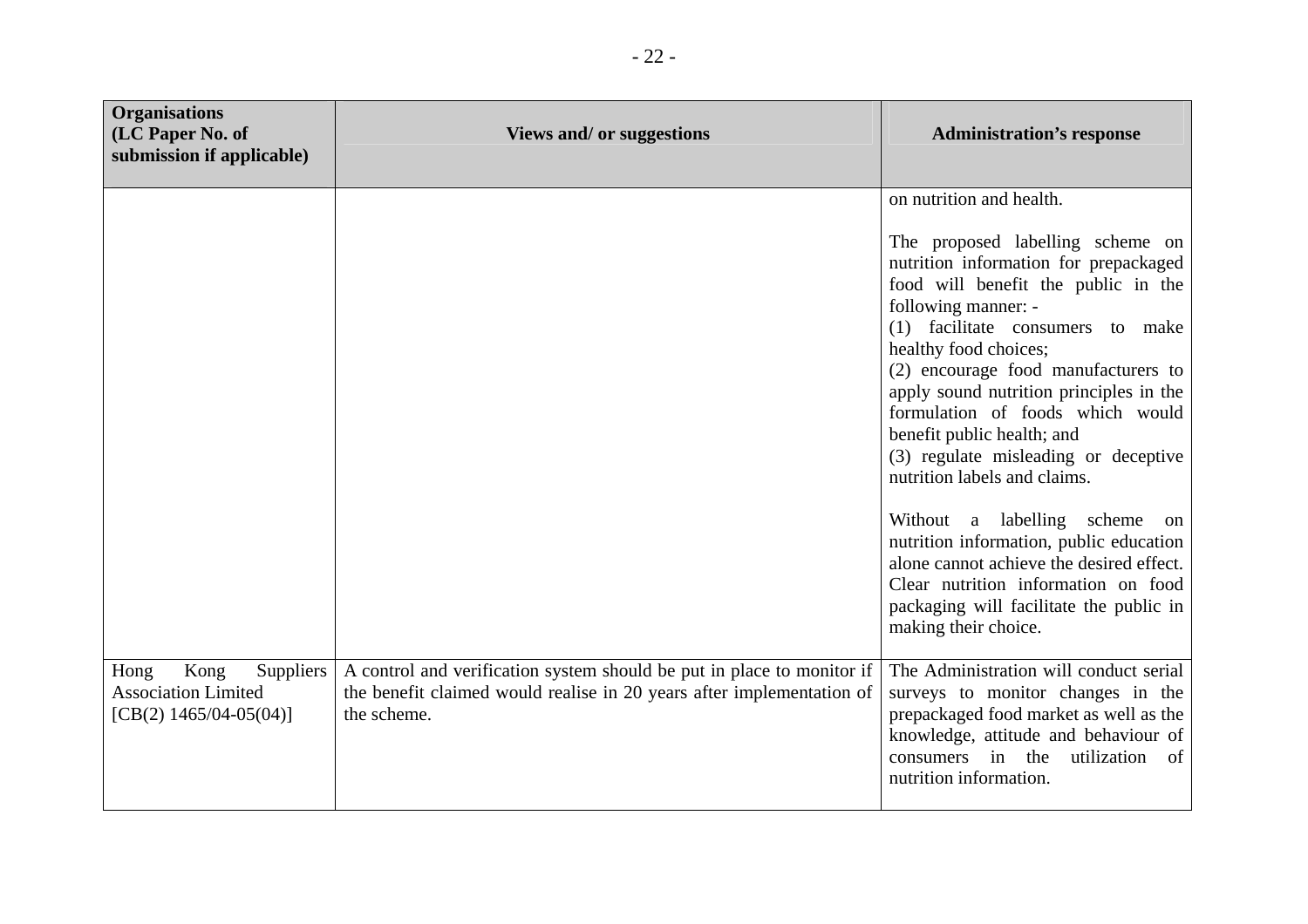| <b>Organisations</b><br>(LC Paper No. of<br>submission if applicable)                | <b>Views and/ or suggestions</b>                                                                                                                               | <b>Administration's response</b>                                                                                                                                                                                                                                                                                                                                                                                                                                                                 |
|--------------------------------------------------------------------------------------|----------------------------------------------------------------------------------------------------------------------------------------------------------------|--------------------------------------------------------------------------------------------------------------------------------------------------------------------------------------------------------------------------------------------------------------------------------------------------------------------------------------------------------------------------------------------------------------------------------------------------------------------------------------------------|
|                                                                                      |                                                                                                                                                                | on nutrition and health.<br>The proposed labelling scheme on<br>nutrition information for prepackaged<br>food will benefit the public in the<br>following manner: -<br>(1) facilitate consumers to make<br>healthy food choices;<br>(2) encourage food manufacturers to<br>apply sound nutrition principles in the<br>formulation of foods which would<br>benefit public health; and<br>(3) regulate misleading or deceptive<br>nutrition labels and claims.<br>Without a labelling scheme<br>on |
|                                                                                      |                                                                                                                                                                | nutrition information, public education<br>alone cannot achieve the desired effect.<br>Clear nutrition information on food<br>packaging will facilitate the public in<br>making their choice.                                                                                                                                                                                                                                                                                                    |
| Kong<br>Suppliers<br>Hong<br><b>Association Limited</b><br>[CB(2) $1465/04-05(04)$ ] | A control and verification system should be put in place to monitor if<br>the benefit claimed would realise in 20 years after implementation of<br>the scheme. | The Administration will conduct serial<br>surveys to monitor changes in the<br>prepackaged food market as well as the<br>knowledge, attitude and behaviour of<br>consumers in the<br>utilization of<br>nutrition information.                                                                                                                                                                                                                                                                    |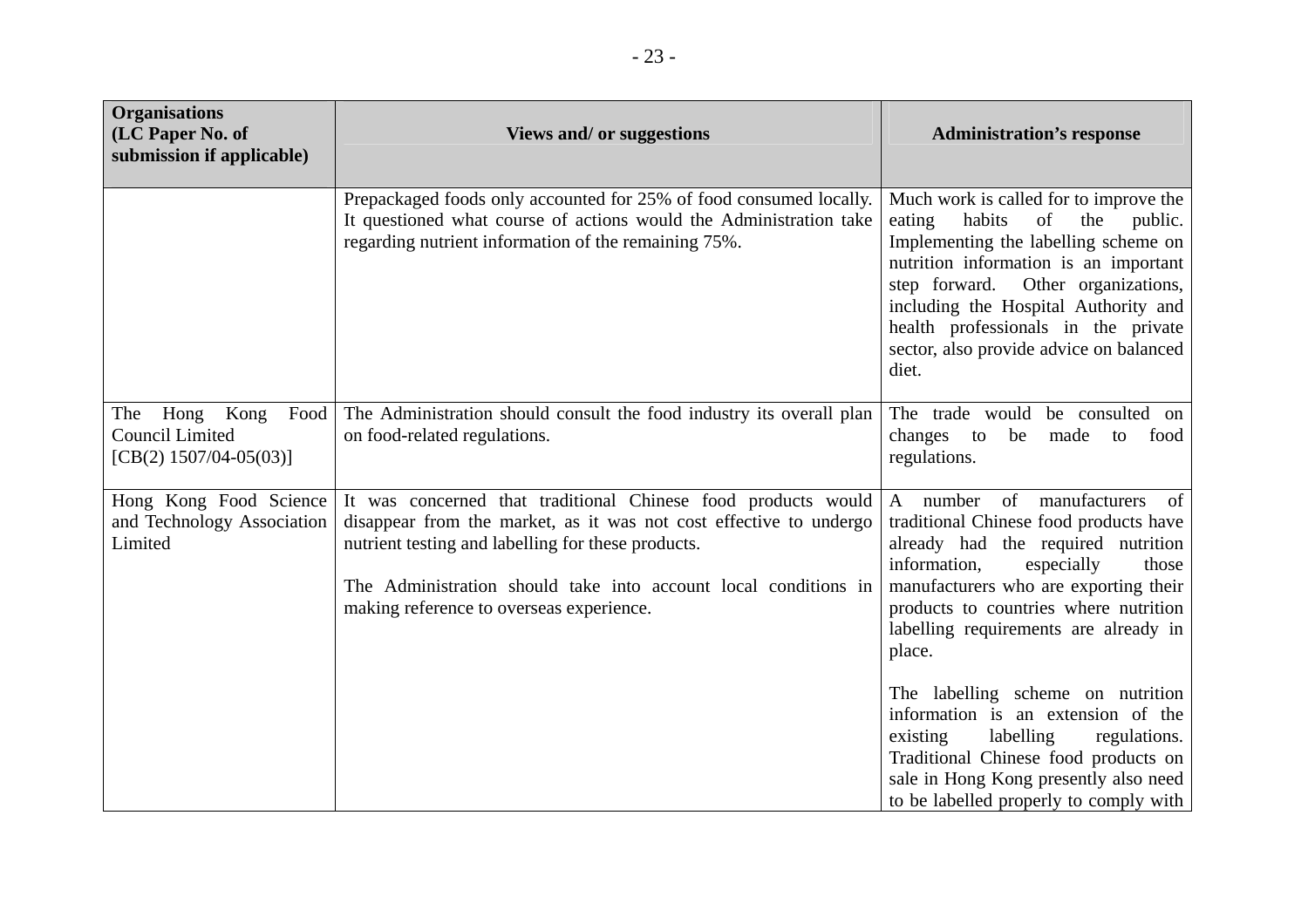| <b>Organisations</b><br>(LC Paper No. of<br>submission if applicable)           | <b>Views and/ or suggestions</b>                                                                                                                                                                                                                                                                         | <b>Administration's response</b>                                                                                                                                                                                                                                                                                                             |
|---------------------------------------------------------------------------------|----------------------------------------------------------------------------------------------------------------------------------------------------------------------------------------------------------------------------------------------------------------------------------------------------------|----------------------------------------------------------------------------------------------------------------------------------------------------------------------------------------------------------------------------------------------------------------------------------------------------------------------------------------------|
|                                                                                 | Prepackaged foods only accounted for 25% of food consumed locally.<br>It questioned what course of actions would the Administration take<br>regarding nutrient information of the remaining 75%.                                                                                                         | Much work is called for to improve the<br>habits<br>of<br>the<br>eating<br>public.<br>Implementing the labelling scheme on<br>nutrition information is an important<br>step forward. Other organizations,<br>including the Hospital Authority and<br>health professionals in the private<br>sector, also provide advice on balanced<br>diet. |
| Hong Kong<br>Food<br>The<br><b>Council Limited</b><br>[CB(2) $1507/04-05(03)$ ] | The Administration should consult the food industry its overall plan<br>on food-related regulations.                                                                                                                                                                                                     | The trade would be consulted on<br>changes to<br>be<br>made<br>food<br>to<br>regulations.                                                                                                                                                                                                                                                    |
| Hong Kong Food Science<br>and Technology Association<br>Limited                 | It was concerned that traditional Chinese food products would<br>disappear from the market, as it was not cost effective to undergo<br>nutrient testing and labelling for these products.<br>The Administration should take into account local conditions in<br>making reference to overseas experience. | A number<br>of<br>manufacturers<br>of<br>traditional Chinese food products have<br>already had the required nutrition<br>information,<br>especially<br>those<br>manufacturers who are exporting their<br>products to countries where nutrition<br>labelling requirements are already in<br>place.                                            |
|                                                                                 |                                                                                                                                                                                                                                                                                                          | The labelling scheme on nutrition<br>information is an extension of the<br>labelling<br>existing<br>regulations.<br>Traditional Chinese food products on<br>sale in Hong Kong presently also need<br>to be labelled properly to comply with                                                                                                  |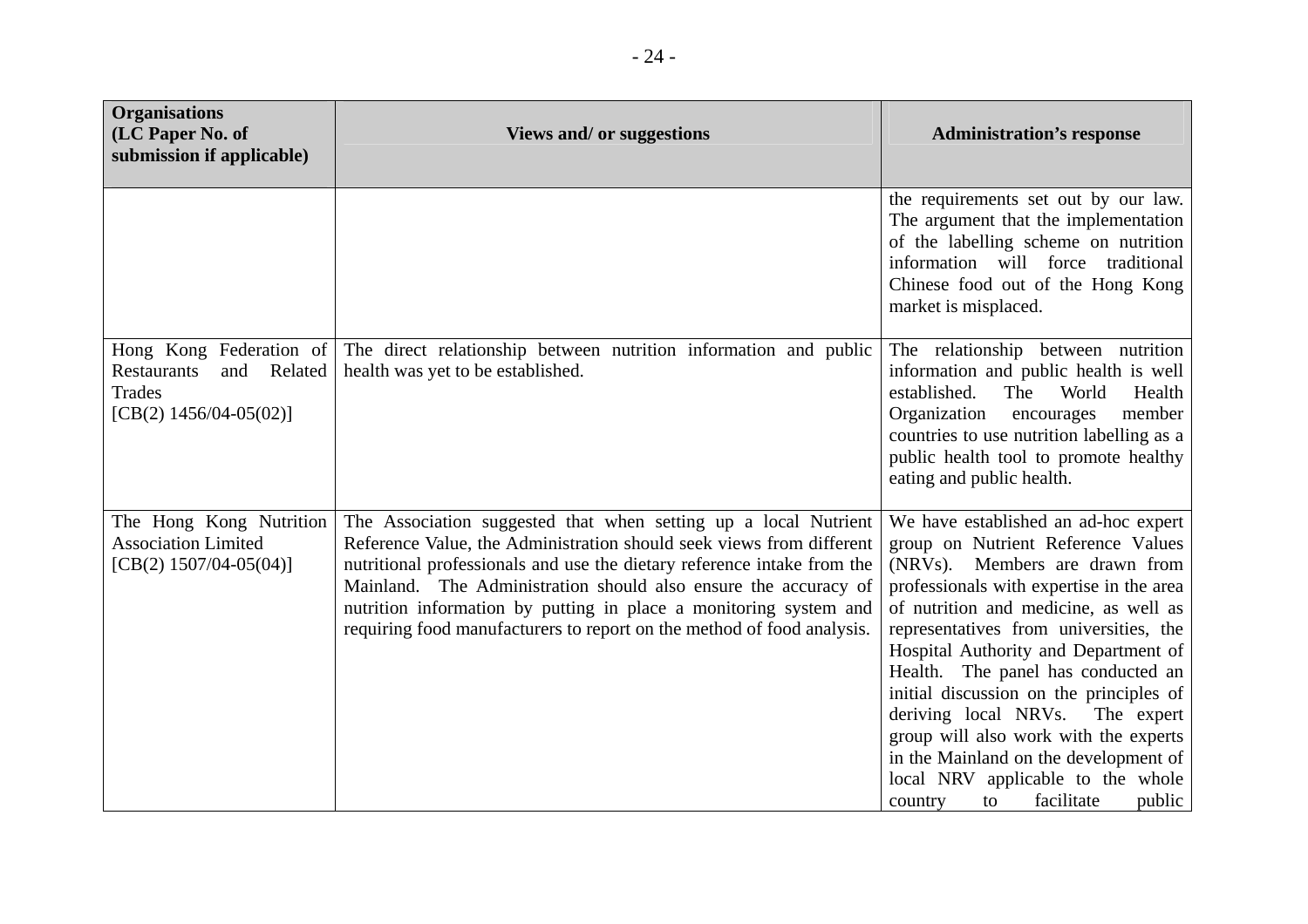| <b>Organisations</b><br>(LC Paper No. of<br>submission if applicable)                                      | <b>Views and/ or suggestions</b>                                                                                                                                                                                                                                                                                                                                                                                                     | <b>Administration's response</b>                                                                                                                                                                                                                                                                                                                                                                                                                                                                                                                                        |
|------------------------------------------------------------------------------------------------------------|--------------------------------------------------------------------------------------------------------------------------------------------------------------------------------------------------------------------------------------------------------------------------------------------------------------------------------------------------------------------------------------------------------------------------------------|-------------------------------------------------------------------------------------------------------------------------------------------------------------------------------------------------------------------------------------------------------------------------------------------------------------------------------------------------------------------------------------------------------------------------------------------------------------------------------------------------------------------------------------------------------------------------|
|                                                                                                            |                                                                                                                                                                                                                                                                                                                                                                                                                                      | the requirements set out by our law.<br>The argument that the implementation<br>of the labelling scheme on nutrition<br>information will force traditional<br>Chinese food out of the Hong Kong<br>market is misplaced.                                                                                                                                                                                                                                                                                                                                                 |
| Hong Kong Federation of<br><b>Restaurants</b><br>and Related<br><b>Trades</b><br>[CB(2) $1456/04-05(02)$ ] | The direct relationship between nutrition information and public<br>health was yet to be established.                                                                                                                                                                                                                                                                                                                                | The relationship between nutrition<br>information and public health is well<br>established.<br>The<br>World<br>Health<br>Organization<br>member<br>encourages<br>countries to use nutrition labelling as a<br>public health tool to promote healthy<br>eating and public health.                                                                                                                                                                                                                                                                                        |
| The Hong Kong Nutrition<br><b>Association Limited</b><br>[CB(2) $1507/04-05(04)$ ]                         | The Association suggested that when setting up a local Nutrient<br>Reference Value, the Administration should seek views from different<br>nutritional professionals and use the dietary reference intake from the<br>Mainland. The Administration should also ensure the accuracy of<br>nutrition information by putting in place a monitoring system and<br>requiring food manufacturers to report on the method of food analysis. | We have established an ad-hoc expert<br>group on Nutrient Reference Values<br>(NRVs). Members are drawn from<br>professionals with expertise in the area<br>of nutrition and medicine, as well as<br>representatives from universities, the<br>Hospital Authority and Department of<br>Health. The panel has conducted an<br>initial discussion on the principles of<br>deriving local NRVs. The expert<br>group will also work with the experts<br>in the Mainland on the development of<br>local NRV applicable to the whole<br>facilitate<br>public<br>country<br>to |